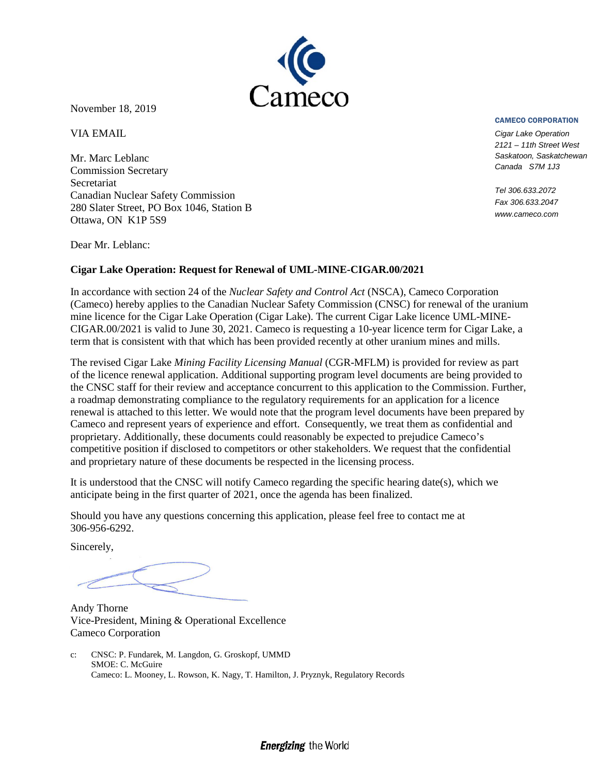

November 18, 2019

VIA EMAIL

Mr. Marc Leblanc Commission Secretary Secretariat Canadian Nuclear Safety Commission 280 Slater Street, PO Box 1046, Station B Ottawa, ON K1P 5S9

CAMECO CORPORATION

*Cigar Lake Operation 2121 – 11th Street West Saskatoon, Saskatchewan Canada S7M 1J3*

*Tel 306.633.2072 Fax 306.633.2047 www.cameco.com*

Dear Mr. Leblanc:

#### **Cigar Lake Operation: Request for Renewal of UML-MINE-CIGAR.00/2021**

In accordance with section 24 of the *Nuclear Safety and Control Act* (NSCA), Cameco Corporation (Cameco) hereby applies to the Canadian Nuclear Safety Commission (CNSC) for renewal of the uranium mine licence for the Cigar Lake Operation (Cigar Lake). The current Cigar Lake licence UML-MINE-CIGAR.00/2021 is valid to June 30, 2021. Cameco is requesting a 10-year licence term for Cigar Lake, a term that is consistent with that which has been provided recently at other uranium mines and mills.

The revised Cigar Lake *Mining Facility Licensing Manual* (CGR-MFLM) is provided for review as part of the licence renewal application. Additional supporting program level documents are being provided to the CNSC staff for their review and acceptance concurrent to this application to the Commission. Further, a roadmap demonstrating compliance to the regulatory requirements for an application for a licence renewal is attached to this letter. We would note that the program level documents have been prepared by Cameco and represent years of experience and effort. Consequently, we treat them as confidential and proprietary. Additionally, these documents could reasonably be expected to prejudice Cameco's competitive position if disclosed to competitors or other stakeholders. We request that the confidential and proprietary nature of these documents be respected in the licensing process.

It is understood that the CNSC will notify Cameco regarding the specific hearing date(s), which we anticipate being in the first quarter of 2021, once the agenda has been finalized.

Should you have any questions concerning this application, please feel free to contact me at 306-956-6292.

Sincerely,

Andy Thorne Vice-President, Mining & Operational Excellence Cameco Corporation

c: CNSC: P. Fundarek, M. Langdon, G. Groskopf, UMMD SMOE: C. McGuire Cameco: L. Mooney, L. Rowson, K. Nagy, T. Hamilton, J. Pryznyk, Regulatory Records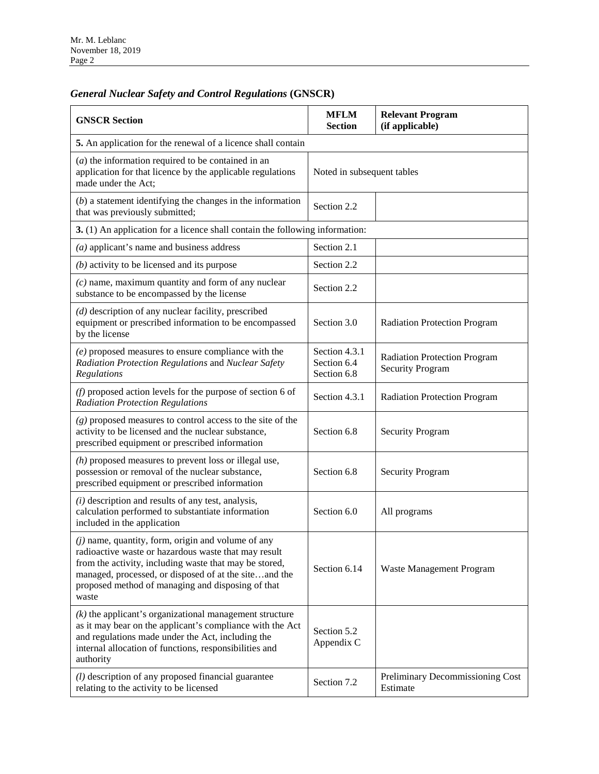## *General Nuclear Safety and Control Regulations* **(GNSCR)**

| <b>GNSCR Section</b>                                                                                                                                                                                                                                                                          | <b>MFLM</b><br><b>Section</b>               | <b>Relevant Program</b><br>(if applicable)                     |  |  |
|-----------------------------------------------------------------------------------------------------------------------------------------------------------------------------------------------------------------------------------------------------------------------------------------------|---------------------------------------------|----------------------------------------------------------------|--|--|
| 5. An application for the renewal of a licence shall contain                                                                                                                                                                                                                                  |                                             |                                                                |  |  |
| $(a)$ the information required to be contained in an<br>application for that licence by the applicable regulations<br>made under the Act;                                                                                                                                                     | Noted in subsequent tables                  |                                                                |  |  |
| $(b)$ a statement identifying the changes in the information<br>that was previously submitted;                                                                                                                                                                                                | Section 2.2                                 |                                                                |  |  |
| 3. (1) An application for a licence shall contain the following information:                                                                                                                                                                                                                  |                                             |                                                                |  |  |
| $(a)$ applicant's name and business address                                                                                                                                                                                                                                                   | Section 2.1                                 |                                                                |  |  |
| $(b)$ activity to be licensed and its purpose                                                                                                                                                                                                                                                 | Section 2.2                                 |                                                                |  |  |
| $(c)$ name, maximum quantity and form of any nuclear<br>substance to be encompassed by the license                                                                                                                                                                                            | Section 2.2                                 |                                                                |  |  |
| $(d)$ description of any nuclear facility, prescribed<br>equipment or prescribed information to be encompassed<br>by the license                                                                                                                                                              | Section 3.0                                 | <b>Radiation Protection Program</b>                            |  |  |
| $(e)$ proposed measures to ensure compliance with the<br>Radiation Protection Regulations and Nuclear Safety<br>Regulations                                                                                                                                                                   | Section 4.3.1<br>Section 6.4<br>Section 6.8 | <b>Radiation Protection Program</b><br><b>Security Program</b> |  |  |
| $(f)$ proposed action levels for the purpose of section 6 of<br><b>Radiation Protection Regulations</b>                                                                                                                                                                                       | Section 4.3.1                               | <b>Radiation Protection Program</b>                            |  |  |
| $(g)$ proposed measures to control access to the site of the<br>activity to be licensed and the nuclear substance,<br>prescribed equipment or prescribed information                                                                                                                          | Section 6.8                                 | <b>Security Program</b>                                        |  |  |
| $(h)$ proposed measures to prevent loss or illegal use,<br>possession or removal of the nuclear substance,<br>prescribed equipment or prescribed information                                                                                                                                  | Section 6.8                                 | <b>Security Program</b>                                        |  |  |
| $(i)$ description and results of any test, analysis,<br>calculation performed to substantiate information<br>included in the application                                                                                                                                                      | Section 6.0                                 | All programs                                                   |  |  |
| $(j)$ name, quantity, form, origin and volume of any<br>radioactive waste or hazardous waste that may result<br>from the activity, including waste that may be stored,<br>managed, processed, or disposed of at the siteand the<br>proposed method of managing and disposing of that<br>waste | Section 6.14                                | Waste Management Program                                       |  |  |
| $(k)$ the applicant's organizational management structure<br>as it may bear on the applicant's compliance with the Act<br>and regulations made under the Act, including the<br>internal allocation of functions, responsibilities and<br>authority                                            | Section 5.2<br>Appendix C                   |                                                                |  |  |
| $(l)$ description of any proposed financial guarantee<br>relating to the activity to be licensed                                                                                                                                                                                              | Section 7.2                                 | Preliminary Decommissioning Cost<br>Estimate                   |  |  |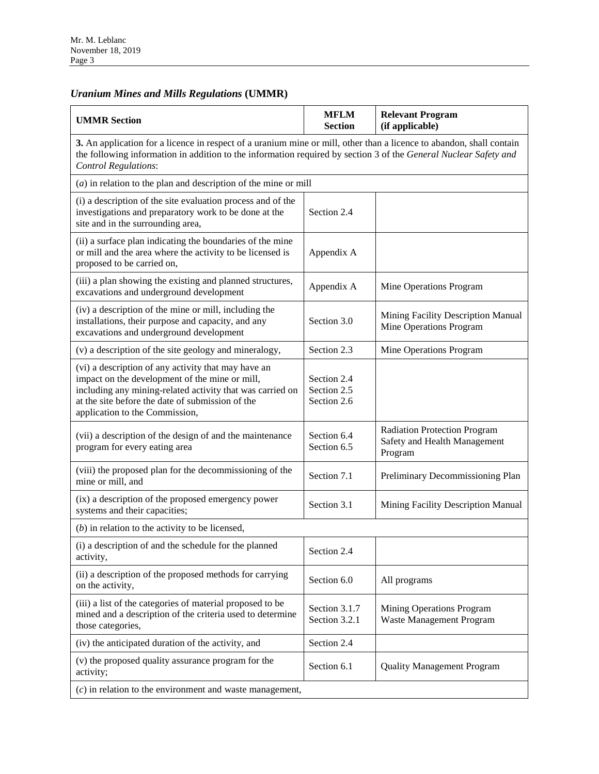#### *Uranium Mines and Mills Regulations* **(UMMR)**

| <b>UMMR Section</b>                                                                                                                                                                                                                                                     | <b>MFLM</b><br><b>Section</b>             | <b>Relevant Program</b><br>(if applicable)                              |  |  |
|-------------------------------------------------------------------------------------------------------------------------------------------------------------------------------------------------------------------------------------------------------------------------|-------------------------------------------|-------------------------------------------------------------------------|--|--|
| 3. An application for a licence in respect of a uranium mine or mill, other than a licence to abandon, shall contain<br>the following information in addition to the information required by section 3 of the General Nuclear Safety and<br><b>Control Regulations:</b> |                                           |                                                                         |  |  |
| $(a)$ in relation to the plan and description of the mine or mill                                                                                                                                                                                                       |                                           |                                                                         |  |  |
| (i) a description of the site evaluation process and of the<br>investigations and preparatory work to be done at the<br>site and in the surrounding area,                                                                                                               | Section 2.4                               |                                                                         |  |  |
| (ii) a surface plan indicating the boundaries of the mine<br>or mill and the area where the activity to be licensed is<br>proposed to be carried on,                                                                                                                    | Appendix A                                |                                                                         |  |  |
| (iii) a plan showing the existing and planned structures,<br>excavations and underground development                                                                                                                                                                    | Appendix A                                | Mine Operations Program                                                 |  |  |
| (iv) a description of the mine or mill, including the<br>installations, their purpose and capacity, and any<br>excavations and underground development                                                                                                                  | Section 3.0                               | Mining Facility Description Manual<br>Mine Operations Program           |  |  |
| (v) a description of the site geology and mineralogy,                                                                                                                                                                                                                   | Section 2.3                               | Mine Operations Program                                                 |  |  |
| (vi) a description of any activity that may have an<br>impact on the development of the mine or mill,<br>including any mining-related activity that was carried on<br>at the site before the date of submission of the<br>application to the Commission,                | Section 2.4<br>Section 2.5<br>Section 2.6 |                                                                         |  |  |
| (vii) a description of the design of and the maintenance<br>program for every eating area                                                                                                                                                                               | Section 6.4<br>Section 6.5                | Radiation Protection Program<br>Safety and Health Management<br>Program |  |  |
| (viii) the proposed plan for the decommissioning of the<br>mine or mill, and                                                                                                                                                                                            | Section 7.1                               | Preliminary Decommissioning Plan                                        |  |  |
| (ix) a description of the proposed emergency power<br>systems and their capacities;                                                                                                                                                                                     | Section 3.1                               | Mining Facility Description Manual                                      |  |  |
| $(b)$ in relation to the activity to be licensed,                                                                                                                                                                                                                       |                                           |                                                                         |  |  |
| (i) a description of and the schedule for the planned<br>activity,                                                                                                                                                                                                      | Section 2.4                               |                                                                         |  |  |
| (ii) a description of the proposed methods for carrying<br>on the activity,                                                                                                                                                                                             | Section 6.0                               | All programs                                                            |  |  |
| (iii) a list of the categories of material proposed to be<br>mined and a description of the criteria used to determine<br>those categories,                                                                                                                             | Section 3.1.7<br>Section 3.2.1            | Mining Operations Program<br>Waste Management Program                   |  |  |
| (iv) the anticipated duration of the activity, and                                                                                                                                                                                                                      | Section 2.4                               |                                                                         |  |  |
| (v) the proposed quality assurance program for the<br>activity;                                                                                                                                                                                                         | Section 6.1                               | <b>Quality Management Program</b>                                       |  |  |
| $(c)$ in relation to the environment and waste management,                                                                                                                                                                                                              |                                           |                                                                         |  |  |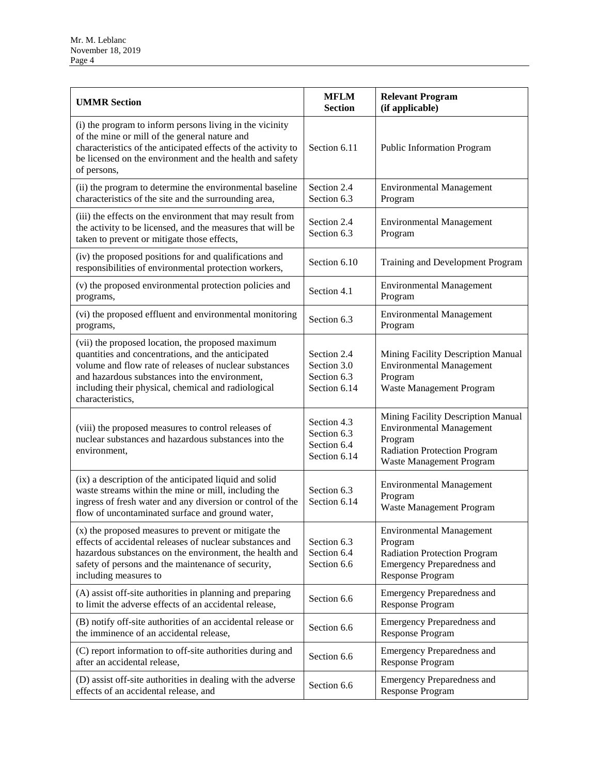| <b>UMMR Section</b>                                                                                                                                                                                                                                                                            | <b>MFLM</b><br><b>Section</b>                             | <b>Relevant Program</b><br>(if applicable)                                                                                                          |
|------------------------------------------------------------------------------------------------------------------------------------------------------------------------------------------------------------------------------------------------------------------------------------------------|-----------------------------------------------------------|-----------------------------------------------------------------------------------------------------------------------------------------------------|
| (i) the program to inform persons living in the vicinity<br>of the mine or mill of the general nature and<br>characteristics of the anticipated effects of the activity to<br>be licensed on the environment and the health and safety<br>of persons,                                          | Section 6.11                                              | <b>Public Information Program</b>                                                                                                                   |
| (ii) the program to determine the environmental baseline<br>characteristics of the site and the surrounding area,                                                                                                                                                                              | Section 2.4<br>Section 6.3                                | <b>Environmental Management</b><br>Program                                                                                                          |
| (iii) the effects on the environment that may result from<br>the activity to be licensed, and the measures that will be<br>taken to prevent or mitigate those effects,                                                                                                                         | Section 2.4<br>Section 6.3                                | <b>Environmental Management</b><br>Program                                                                                                          |
| (iv) the proposed positions for and qualifications and<br>responsibilities of environmental protection workers,                                                                                                                                                                                | Section 6.10                                              | Training and Development Program                                                                                                                    |
| (v) the proposed environmental protection policies and<br>programs,                                                                                                                                                                                                                            | Section 4.1                                               | <b>Environmental Management</b><br>Program                                                                                                          |
| (vi) the proposed effluent and environmental monitoring<br>programs,                                                                                                                                                                                                                           | Section 6.3                                               | <b>Environmental Management</b><br>Program                                                                                                          |
| (vii) the proposed location, the proposed maximum<br>quantities and concentrations, and the anticipated<br>volume and flow rate of releases of nuclear substances<br>and hazardous substances into the environment,<br>including their physical, chemical and radiological<br>characteristics, | Section 2.4<br>Section 3.0<br>Section 6.3<br>Section 6.14 | Mining Facility Description Manual<br><b>Environmental Management</b><br>Program<br>Waste Management Program                                        |
| (viii) the proposed measures to control releases of<br>nuclear substances and hazardous substances into the<br>environment,                                                                                                                                                                    | Section 4.3<br>Section 6.3<br>Section 6.4<br>Section 6.14 | Mining Facility Description Manual<br><b>Environmental Management</b><br>Program<br><b>Radiation Protection Program</b><br>Waste Management Program |
| (ix) a description of the anticipated liquid and solid<br>waste streams within the mine or mill, including the<br>ingress of fresh water and any diversion or control of the<br>flow of uncontaminated surface and ground water,                                                               | Section 6.3<br>Section 6.14                               | <b>Environmental Management</b><br>Program<br>Waste Management Program                                                                              |
| (x) the proposed measures to prevent or mitigate the<br>effects of accidental releases of nuclear substances and<br>hazardous substances on the environment, the health and<br>safety of persons and the maintenance of security,<br>including measures to                                     | Section 6.3<br>Section 6.4<br>Section 6.6                 | <b>Environmental Management</b><br>Program<br>Radiation Protection Program<br><b>Emergency Preparedness and</b><br><b>Response Program</b>          |
| (A) assist off-site authorities in planning and preparing<br>to limit the adverse effects of an accidental release,                                                                                                                                                                            | Section 6.6                                               | <b>Emergency Preparedness and</b><br><b>Response Program</b>                                                                                        |
| (B) notify off-site authorities of an accidental release or<br>the imminence of an accidental release,                                                                                                                                                                                         | Section 6.6                                               | <b>Emergency Preparedness and</b><br>Response Program                                                                                               |
| (C) report information to off-site authorities during and<br>after an accidental release,                                                                                                                                                                                                      | Section 6.6                                               | <b>Emergency Preparedness and</b><br><b>Response Program</b>                                                                                        |
| (D) assist off-site authorities in dealing with the adverse<br>effects of an accidental release, and                                                                                                                                                                                           | Section 6.6                                               | <b>Emergency Preparedness and</b><br><b>Response Program</b>                                                                                        |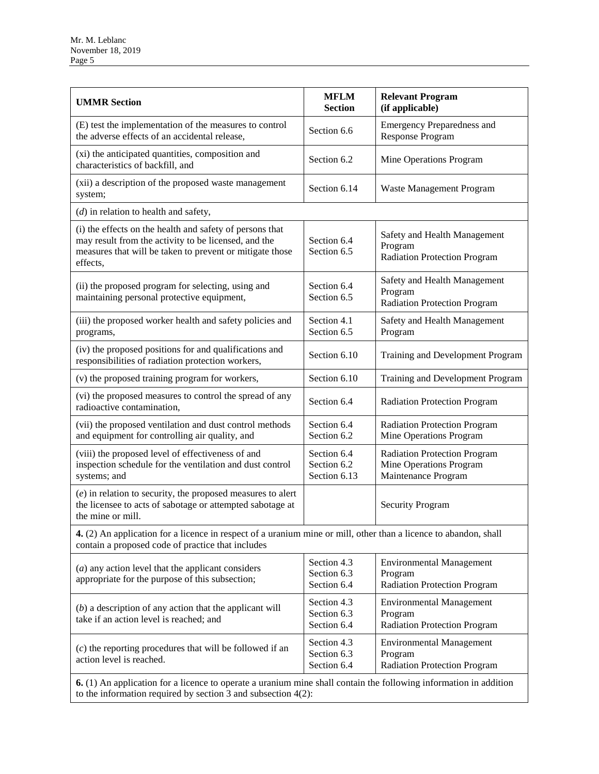| <b>UMMR</b> Section                                                                                                                                                                      | <b>MFLM</b><br><b>Section</b>              | <b>Relevant Program</b><br>(if applicable)                                            |  |
|------------------------------------------------------------------------------------------------------------------------------------------------------------------------------------------|--------------------------------------------|---------------------------------------------------------------------------------------|--|
| (E) test the implementation of the measures to control<br>the adverse effects of an accidental release,                                                                                  | Section 6.6                                | <b>Emergency Preparedness and</b><br>Response Program                                 |  |
| (xi) the anticipated quantities, composition and<br>characteristics of backfill, and                                                                                                     | Section 6.2                                | Mine Operations Program                                                               |  |
| (xii) a description of the proposed waste management<br>system;                                                                                                                          | Section 6.14                               | Waste Management Program                                                              |  |
| $(d)$ in relation to health and safety,                                                                                                                                                  |                                            |                                                                                       |  |
| (i) the effects on the health and safety of persons that<br>may result from the activity to be licensed, and the<br>measures that will be taken to prevent or mitigate those<br>effects, | Section 6.4<br>Section 6.5                 | Safety and Health Management<br>Program<br><b>Radiation Protection Program</b>        |  |
| (ii) the proposed program for selecting, using and<br>maintaining personal protective equipment,                                                                                         | Section 6.4<br>Section 6.5                 | Safety and Health Management<br>Program<br><b>Radiation Protection Program</b>        |  |
| (iii) the proposed worker health and safety policies and<br>programs,                                                                                                                    | Section 4.1<br>Section 6.5                 | Safety and Health Management<br>Program                                               |  |
| (iv) the proposed positions for and qualifications and<br>responsibilities of radiation protection workers,                                                                              | Section 6.10                               | Training and Development Program                                                      |  |
| (v) the proposed training program for workers,                                                                                                                                           | Section 6.10                               | Training and Development Program                                                      |  |
| (vi) the proposed measures to control the spread of any<br>radioactive contamination,                                                                                                    | Section 6.4                                | <b>Radiation Protection Program</b>                                                   |  |
| (vii) the proposed ventilation and dust control methods<br>and equipment for controlling air quality, and                                                                                | Section 6.4<br>Section 6.2                 | <b>Radiation Protection Program</b><br>Mine Operations Program                        |  |
| (viii) the proposed level of effectiveness of and<br>inspection schedule for the ventilation and dust control<br>systems; and                                                            | Section 6.4<br>Section 6.2<br>Section 6.13 | <b>Radiation Protection Program</b><br>Mine Operations Program<br>Maintenance Program |  |
| $(e)$ in relation to security, the proposed measures to alert<br>the licensee to acts of sabotage or attempted sabotage at<br><b>Security Program</b><br>the mine or mill.               |                                            |                                                                                       |  |
| 4. (2) An application for a licence in respect of a uranium mine or mill, other than a licence to abandon, shall<br>contain a proposed code of practice that includes                    |                                            |                                                                                       |  |
| $(a)$ any action level that the applicant considers<br>appropriate for the purpose of this subsection;                                                                                   | Section 4.3<br>Section 6.3<br>Section 6.4  | <b>Environmental Management</b><br>Program<br><b>Radiation Protection Program</b>     |  |
| $(b)$ a description of any action that the applicant will<br>take if an action level is reached; and                                                                                     | Section 4.3<br>Section 6.3<br>Section 6.4  | <b>Environmental Management</b><br>Program<br>Radiation Protection Program            |  |
| $(c)$ the reporting procedures that will be followed if an<br>action level is reached.                                                                                                   | Section 4.3<br>Section 6.3<br>Section 6.4  | <b>Environmental Management</b><br>Program<br><b>Radiation Protection Program</b>     |  |
| 6. (1) An application for a licence to operate a uranium mine shall contain the following information in addition<br>to the information required by section 3 and subsection $4(2)$ :    |                                            |                                                                                       |  |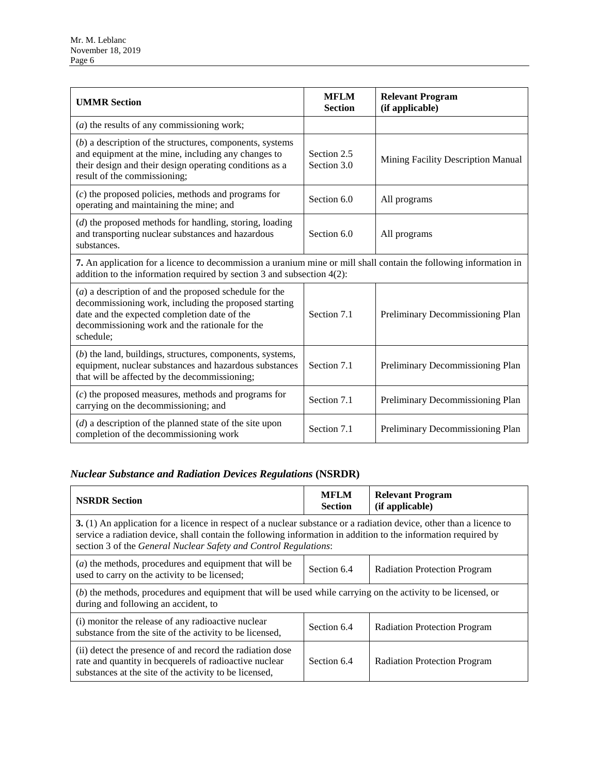| <b>UMMR Section</b>                                                                                                                                                                                                              | <b>MFLM</b><br><b>Section</b> | <b>Relevant Program</b><br>(if applicable) |  |
|----------------------------------------------------------------------------------------------------------------------------------------------------------------------------------------------------------------------------------|-------------------------------|--------------------------------------------|--|
| $(a)$ the results of any commissioning work;                                                                                                                                                                                     |                               |                                            |  |
| $(b)$ a description of the structures, components, systems<br>and equipment at the mine, including any changes to<br>their design and their design operating conditions as a<br>result of the commissioning;                     | Section 2.5<br>Section 3.0    | Mining Facility Description Manual         |  |
| $(c)$ the proposed policies, methods and programs for<br>operating and maintaining the mine; and                                                                                                                                 | Section 6.0                   | All programs                               |  |
| $(d)$ the proposed methods for handling, storing, loading<br>and transporting nuclear substances and hazardous<br>substances.                                                                                                    | Section 6.0                   | All programs                               |  |
| 7. An application for a licence to decommission a uranium mine or mill shall contain the following information in<br>addition to the information required by section $3$ and subsection $4(2)$ :                                 |                               |                                            |  |
| $(a)$ a description of and the proposed schedule for the<br>decommissioning work, including the proposed starting<br>date and the expected completion date of the<br>decommissioning work and the rationale for the<br>schedule; | Section 7.1                   | Preliminary Decommissioning Plan           |  |
| $(b)$ the land, buildings, structures, components, systems,<br>equipment, nuclear substances and hazardous substances<br>that will be affected by the decommissioning;                                                           | Section 7.1                   | Preliminary Decommissioning Plan           |  |
| $(c)$ the proposed measures, methods and programs for<br>carrying on the decommissioning; and                                                                                                                                    | Section 7.1                   | Preliminary Decommissioning Plan           |  |
| $(d)$ a description of the planned state of the site upon<br>completion of the decommissioning work                                                                                                                              | Section 7.1                   | Preliminary Decommissioning Plan           |  |

#### *Nuclear Substance and Radiation Devices Regulations* **(NSRDR)**

| <b>NSRDR Section</b>                                                                                                                                                                                                                                                                                       | <b>MFLM</b><br><b>Section</b> | <b>Relevant Program</b><br>(if applicable) |  |
|------------------------------------------------------------------------------------------------------------------------------------------------------------------------------------------------------------------------------------------------------------------------------------------------------------|-------------------------------|--------------------------------------------|--|
| 3. (1) An application for a licence in respect of a nuclear substance or a radiation device, other than a licence to<br>service a radiation device, shall contain the following information in addition to the information required by<br>section 3 of the General Nuclear Safety and Control Regulations: |                               |                                            |  |
| ( <i>a</i> ) the methods, procedures and equipment that will be<br>used to carry on the activity to be licensed;                                                                                                                                                                                           | Section 6.4                   | <b>Radiation Protection Program</b>        |  |
| (b) the methods, procedures and equipment that will be used while carrying on the activity to be licensed, or<br>during and following an accident, to                                                                                                                                                      |                               |                                            |  |
| (i) monitor the release of any radioactive nuclear<br>substance from the site of the activity to be licensed,                                                                                                                                                                                              | Section 6.4                   | <b>Radiation Protection Program</b>        |  |
| (ii) detect the presence of and record the radiation dose<br>rate and quantity in becquerels of radioactive nuclear<br>substances at the site of the activity to be licensed,                                                                                                                              | Section 6.4                   | <b>Radiation Protection Program</b>        |  |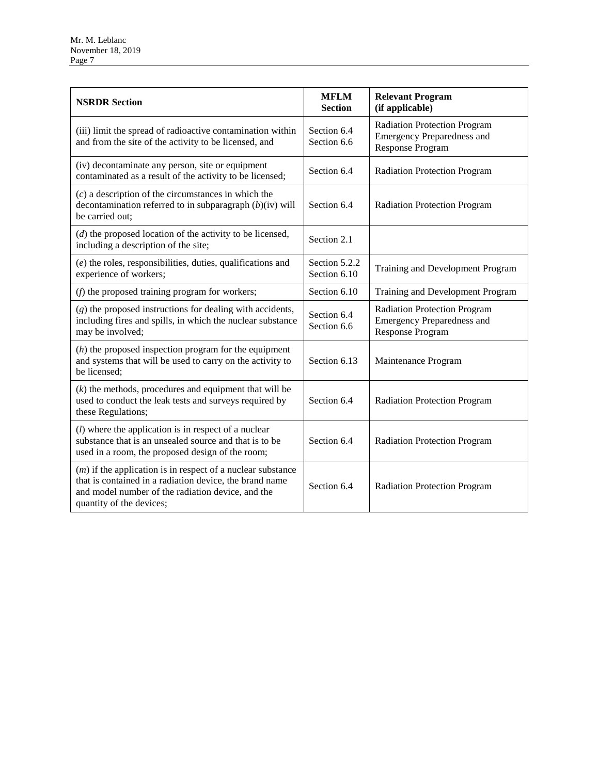| <b>NSRDR Section</b>                                                                                                                                                                                      | <b>MFLM</b><br><b>Section</b> | <b>Relevant Program</b><br>(if applicable)                                                          |
|-----------------------------------------------------------------------------------------------------------------------------------------------------------------------------------------------------------|-------------------------------|-----------------------------------------------------------------------------------------------------|
| (iii) limit the spread of radioactive contamination within<br>and from the site of the activity to be licensed, and                                                                                       | Section 6.4<br>Section 6.6    | <b>Radiation Protection Program</b><br><b>Emergency Preparedness and</b><br>Response Program        |
| (iv) decontaminate any person, site or equipment<br>contaminated as a result of the activity to be licensed;                                                                                              | Section 6.4                   | <b>Radiation Protection Program</b>                                                                 |
| $(c)$ a description of the circumstances in which the<br>decontamination referred to in subparagraph $(b)(iv)$ will<br>be carried out:                                                                    | Section 6.4                   | <b>Radiation Protection Program</b>                                                                 |
| $(d)$ the proposed location of the activity to be licensed,<br>including a description of the site;                                                                                                       | Section 2.1                   |                                                                                                     |
| $(e)$ the roles, responsibilities, duties, qualifications and<br>experience of workers;                                                                                                                   | Section 5.2.2<br>Section 6.10 | Training and Development Program                                                                    |
| $(f)$ the proposed training program for workers;                                                                                                                                                          | Section 6.10                  | Training and Development Program                                                                    |
| $(g)$ the proposed instructions for dealing with accidents,<br>including fires and spills, in which the nuclear substance<br>may be involved;                                                             | Section 6.4<br>Section 6.6    | <b>Radiation Protection Program</b><br><b>Emergency Preparedness and</b><br><b>Response Program</b> |
| $(h)$ the proposed inspection program for the equipment<br>and systems that will be used to carry on the activity to<br>be licensed:                                                                      | Section 6.13                  | Maintenance Program                                                                                 |
| $(k)$ the methods, procedures and equipment that will be<br>used to conduct the leak tests and surveys required by<br>these Regulations;                                                                  | Section 6.4                   | <b>Radiation Protection Program</b>                                                                 |
| $(l)$ where the application is in respect of a nuclear<br>substance that is an unsealed source and that is to be<br>used in a room, the proposed design of the room;                                      | Section 6.4                   | <b>Radiation Protection Program</b>                                                                 |
| $(m)$ if the application is in respect of a nuclear substance<br>that is contained in a radiation device, the brand name<br>and model number of the radiation device, and the<br>quantity of the devices; | Section 6.4                   | <b>Radiation Protection Program</b>                                                                 |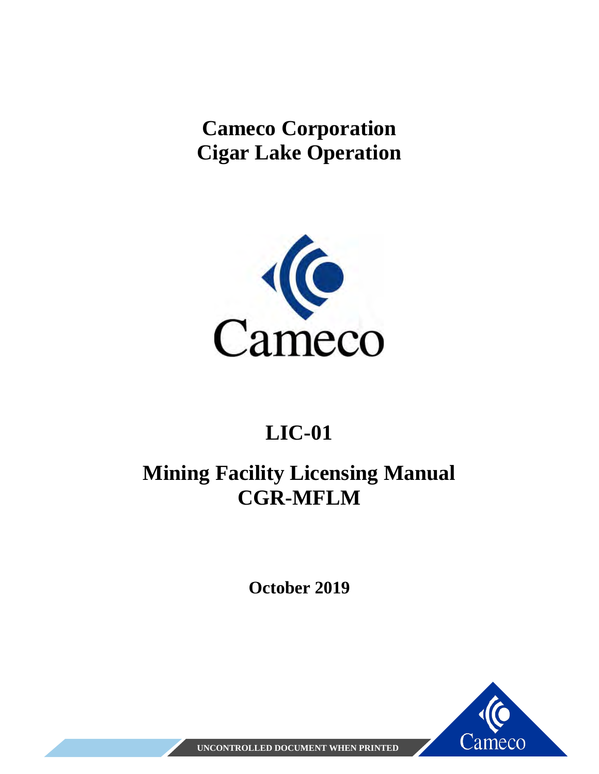<span id="page-7-1"></span><span id="page-7-0"></span>**Cameco Corporation Cigar Lake Operation**



# **LIC-01**

# **Mining Facility Licensing Manual CGR-MFLM**

**October 2019**



**UNCONTROLLED DOCUMENT WHEN PRINTED**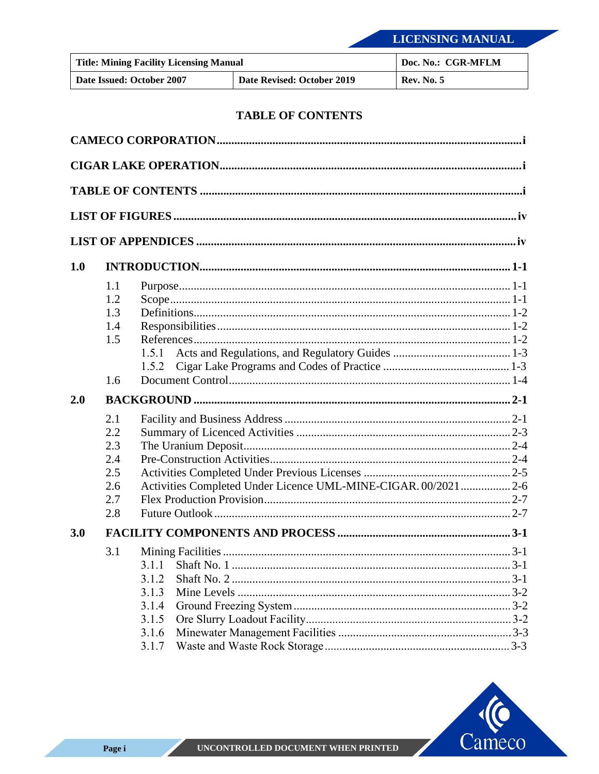| <b>Title: Mining Facility Licensing Manual</b> |                            | Doc. No.: CGR-MFLM |
|------------------------------------------------|----------------------------|--------------------|
| Date Issued: October 2007                      | Date Revised: October 2019 | <b>Rev. No. 5</b>  |

#### **TABLE OF CONTENTS**

<span id="page-8-0"></span>

| 1.0 |            |                                                               |  |
|-----|------------|---------------------------------------------------------------|--|
|     | 1.1        |                                                               |  |
|     | 1.2        |                                                               |  |
|     | 1.3<br>1.4 |                                                               |  |
|     | 1.5        |                                                               |  |
|     |            | 1.5.1                                                         |  |
|     |            | 1.5.2                                                         |  |
|     | 1.6        |                                                               |  |
| 2.0 |            |                                                               |  |
|     | 2.1        |                                                               |  |
|     | 2.2        |                                                               |  |
|     |            |                                                               |  |
|     | 2.3        |                                                               |  |
|     | 2.4        |                                                               |  |
|     | 2.5        |                                                               |  |
|     | 2.6<br>2.7 | Activities Completed Under Licence UML-MINE-CIGAR. 00/20212-6 |  |
|     | 2.8        |                                                               |  |
| 3.0 |            |                                                               |  |
|     | 3.1        |                                                               |  |
|     |            |                                                               |  |
|     |            | 3.1.2                                                         |  |
|     |            | 3.1.3                                                         |  |
|     |            | 3.1.4                                                         |  |
|     |            | 3.1.5<br>3.1.6                                                |  |

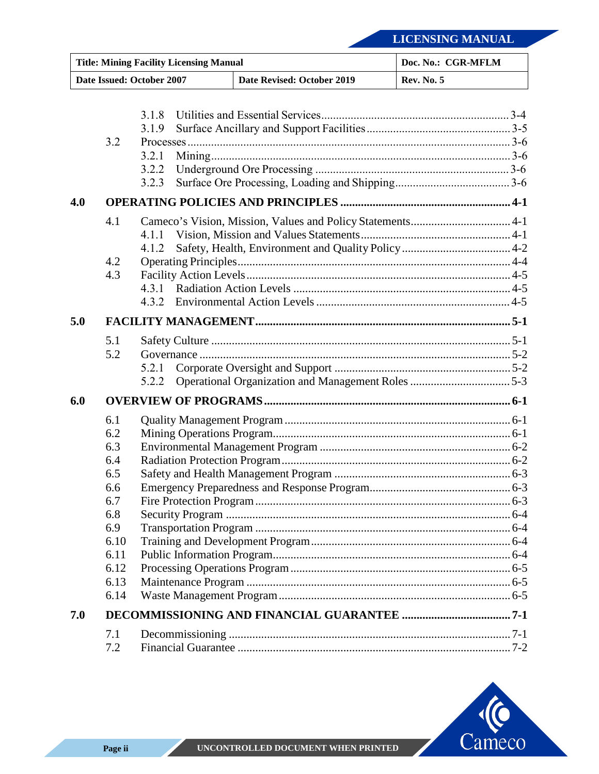| <b>Title: Mining Facility Licensing Manual</b>          |      | Doc. No.: CGR-MFLM |                   |  |
|---------------------------------------------------------|------|--------------------|-------------------|--|
| Date Issued: October 2007<br>Date Revised: October 2019 |      |                    | <b>Rev. No. 5</b> |  |
|                                                         |      |                    |                   |  |
|                                                         |      | 3.1.8              |                   |  |
|                                                         |      | 3.1.9              |                   |  |
|                                                         | 3.2  |                    |                   |  |
|                                                         |      | 3.2.1              |                   |  |
|                                                         |      | 3.2.2              |                   |  |
|                                                         |      | 3.2.3              |                   |  |
| 4.0                                                     |      |                    |                   |  |
|                                                         | 4.1  |                    |                   |  |
|                                                         |      | 4.1.1              |                   |  |
|                                                         |      | 4.1.2              |                   |  |
|                                                         | 4.2  |                    |                   |  |
|                                                         | 4.3  |                    |                   |  |
|                                                         |      | 4.3.1              |                   |  |
|                                                         |      |                    |                   |  |
| 5.0                                                     |      |                    |                   |  |
|                                                         | 5.1  |                    |                   |  |
|                                                         | 5.2  |                    |                   |  |
|                                                         |      | 5.2.1              |                   |  |
|                                                         |      | 5.2.2              |                   |  |
| 6.0                                                     |      |                    |                   |  |
|                                                         | 6.1  |                    |                   |  |
|                                                         | 6.2  |                    |                   |  |
|                                                         | 6.3  |                    |                   |  |
|                                                         | 6.4  |                    |                   |  |
|                                                         | 6.5  |                    |                   |  |
|                                                         | 6.6  |                    |                   |  |
|                                                         | 6.7  |                    |                   |  |
|                                                         | 6.8  |                    |                   |  |
|                                                         | 6.9  |                    |                   |  |
|                                                         | 6.10 |                    |                   |  |
|                                                         | 6.11 |                    |                   |  |
|                                                         | 6.12 |                    |                   |  |
|                                                         | 6.13 |                    |                   |  |
|                                                         | 6.14 |                    |                   |  |
| 7.0                                                     |      |                    |                   |  |
|                                                         | 7.1  |                    |                   |  |
|                                                         | 7.2  |                    |                   |  |

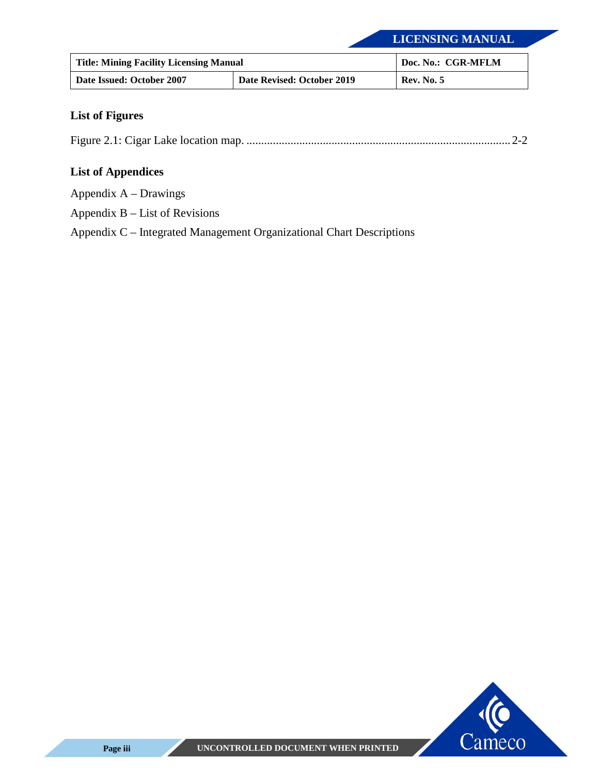| <b>Title: Mining Facility Licensing Manual</b> |                            | Doc. No.: CGR-MFLM |
|------------------------------------------------|----------------------------|--------------------|
| Date Issued: October 2007                      | Date Revised: October 2019 | <b>Rev. No. 5</b>  |

#### <span id="page-10-0"></span>**List of Figures**

[Figure 2.1: Cigar Lake location map. .......................................................................................... 2-2](#page-16-0)

#### <span id="page-10-1"></span>**List of Appendices**

[Appendix A – Drawings](#page-47-0)

[Appendix B – List of Revisions](#page-50-0) 

[Appendix C – Integrated Management Organizational Chart Descriptions](#page-53-0)

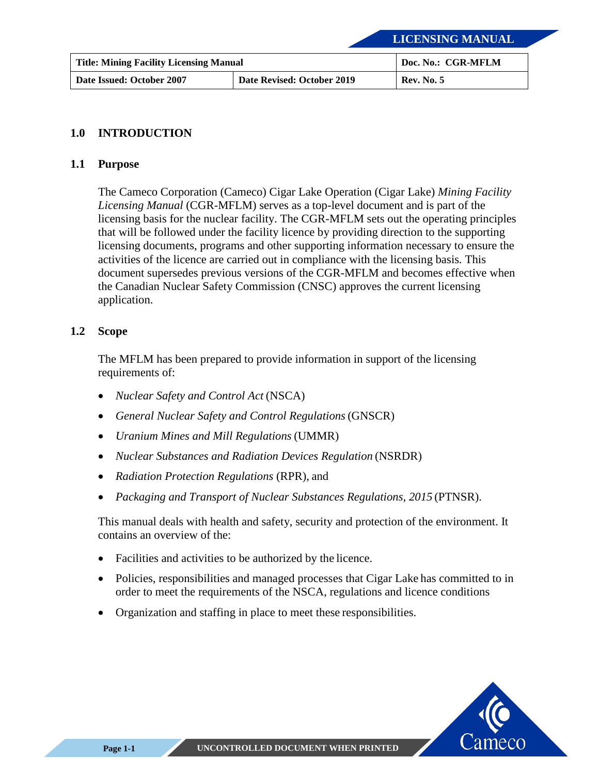| <b>Title: Mining Facility Licensing Manual</b> |                            | Doc. No.: CGR-MFLM |
|------------------------------------------------|----------------------------|--------------------|
| Date Issued: October 2007                      | Date Revised: October 2019 | <b>Rev. No. 5</b>  |

#### <span id="page-11-0"></span>**1.0 INTRODUCTION**

#### <span id="page-11-1"></span>**1.1 Purpose**

The Cameco Corporation (Cameco) Cigar Lake Operation (Cigar Lake) *Mining Facility Licensing Manual* (CGR-MFLM) serves as a top-level document and is part of the licensing basis for the nuclear facility. The CGR-MFLM sets out the operating principles that will be followed under the facility licence by providing direction to the supporting licensing documents, programs and other supporting information necessary to ensure the activities of the licence are carried out in compliance with the licensing basis*.* This document supersedes previous versions of the CGR-MFLM and becomes effective when the Canadian Nuclear Safety Commission (CNSC) approves the current licensing application.

#### <span id="page-11-2"></span>**1.2 Scope**

The MFLM has been prepared to provide information in support of the licensing requirements of:

- *Nuclear Safety and Control Act* (NSCA)
- *General Nuclear Safety and Control Regulations*(GNSCR)
- *Uranium Mines and Mill Regulations* (UMMR)
- *Nuclear Substances and Radiation Devices Regulation* (NSRDR)
- *Radiation Protection Regulations* (RPR), and
- *Packaging and Transport of Nuclear Substances Regulations, 2015* (PTNSR).

This manual deals with health and safety, security and protection of the environment. It contains an overview of the:

- Facilities and activities to be authorized by the licence.
- Policies, responsibilities and managed processes that Cigar Lake has committed to in order to meet the requirements of the NSCA, regulations and licence conditions
- Organization and staffing in place to meet these responsibilities.

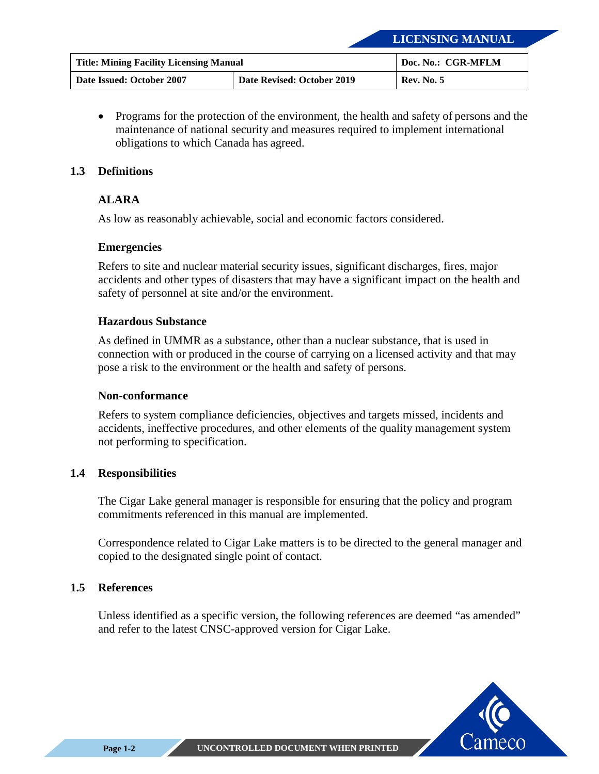| <b>Title: Mining Facility Licensing Manual</b> |                            | Doc. No.: CGR-MFLM |
|------------------------------------------------|----------------------------|--------------------|
| Date Issued: October 2007                      | Date Revised: October 2019 | <b>Rev. No. 5</b>  |

• Programs for the protection of the environment, the health and safety of persons and the maintenance of national security and measures required to implement international obligations to which Canada has agreed.

#### <span id="page-12-0"></span>**1.3 Definitions**

#### **ALARA**

As low as reasonably achievable, social and economic factors considered.

#### **Emergencies**

Refers to site and nuclear material security issues, significant discharges, fires, major accidents and other types of disasters that may have a significant impact on the health and safety of personnel at site and/or the environment.

#### **Hazardous Substance**

As defined in UMMR as a substance, other than a nuclear substance, that is used in connection with or produced in the course of carrying on a licensed activity and that may pose a risk to the environment or the health and safety of persons.

#### **Non-conformance**

Refers to system compliance deficiencies, objectives and targets missed, incidents and accidents, ineffective procedures, and other elements of the quality management system not performing to specification.

#### <span id="page-12-1"></span>**1.4 Responsibilities**

The Cigar Lake general manager is responsible for ensuring that the policy and program commitments referenced in this manual are implemented.

Correspondence related to Cigar Lake matters is to be directed to the general manager and copied to the designated single point of contact.

#### <span id="page-12-2"></span>**1.5 References**

Unless identified as a specific version, the following references are deemed "as amended" and refer to the latest CNSC-approved version for Cigar Lake.

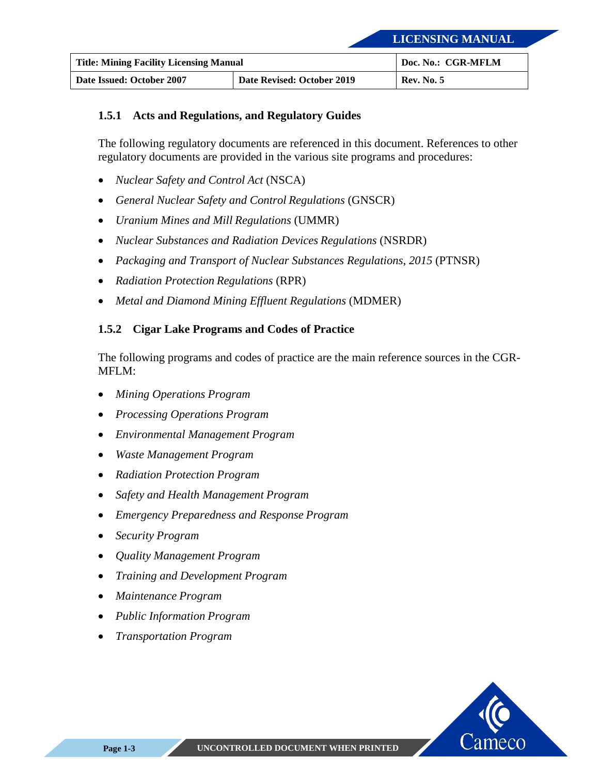| <b>Title: Mining Facility Licensing Manual</b> |                            | Doc. No.: CGR-MFLM |
|------------------------------------------------|----------------------------|--------------------|
| Date Issued: October 2007                      | Date Revised: October 2019 | <b>Rev. No. 5</b>  |

#### <span id="page-13-0"></span>**1.5.1 Acts and Regulations, and Regulatory Guides**

The following regulatory documents are referenced in this document. References to other regulatory documents are provided in the various site programs and procedures:

- *Nuclear Safety and Control Act* (NSCA)
- *General Nuclear Safety and Control Regulations* (GNSCR)
- *Uranium Mines and Mill Regulations* (UMMR)
- *Nuclear Substances and Radiation Devices Regulations* (NSRDR)
- *Packaging and Transport of Nuclear Substances Regulations, 2015* (PTNSR)
- *Radiation Protection Regulations* (RPR)
- *Metal and Diamond Mining Effluent Regulations* (MDMER)

#### <span id="page-13-1"></span>**1.5.2 Cigar Lake Programs and Codes of Practice**

The following programs and codes of practice are the main reference sources in the CGR-MFLM:

- *Mining Operations Program*
- *Processing Operations Program*
- *Environmental Management Program*
- *Waste Management Program*
- *Radiation Protection Program*
- *Safety and Health Management Program*
- *Emergency Preparedness and Response Program*
- *Security Program*
- *Quality Management Program*
- *Training and Development Program*
- *Maintenance Program*
- *Public Information Program*
- *Transportation Program*

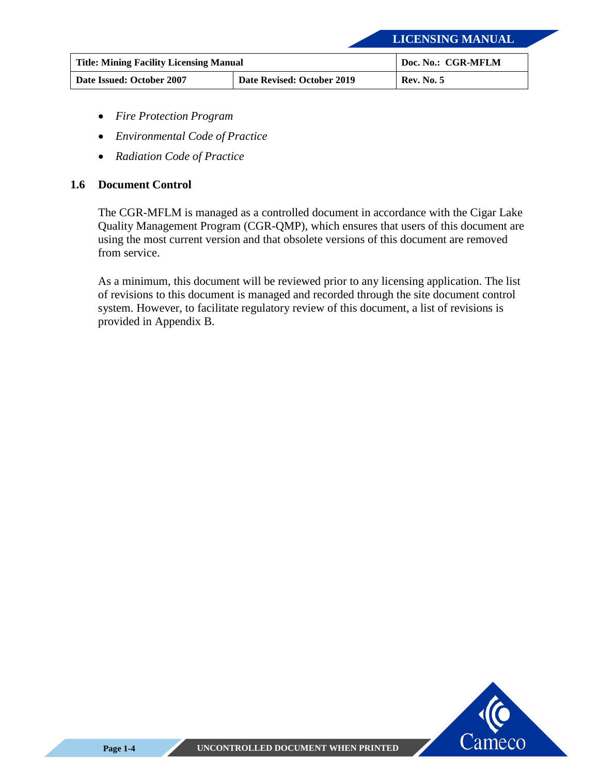| <b>Title: Mining Facility Licensing Manual</b> |                            | Doc. No.: CGR-MFLM |
|------------------------------------------------|----------------------------|--------------------|
| Date Issued: October 2007                      | Date Revised: October 2019 | <b>Rev. No. 5</b>  |

- *Fire Protection Program*
- *Environmental Code of Practice*
- *Radiation Code of Practice*

#### <span id="page-14-0"></span>**1.6 Document Control**

The CGR-MFLM is managed as a controlled document in accordance with the Cigar Lake Quality Management Program (CGR-QMP), which ensures that users of this document are using the most current version and that obsolete versions of this document are removed from service.

As a minimum, this document will be reviewed prior to any licensing application. The list of revisions to this document is managed and recorded through the site document control system. However, to facilitate regulatory review of this document, a list of revisions is provided in [Appendix B.](#page-50-0)

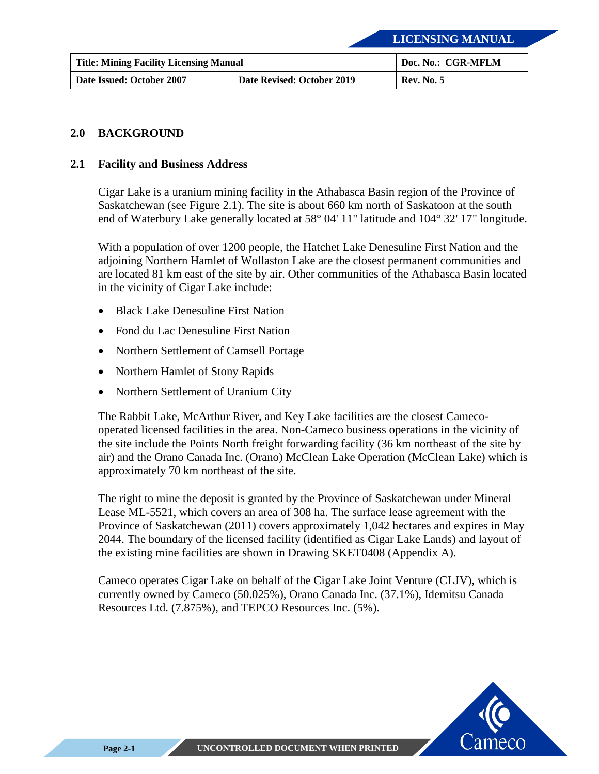| <b>Title: Mining Facility Licensing Manual</b> |                            | Doc. No.: CGR-MFLM |
|------------------------------------------------|----------------------------|--------------------|
| Date Issued: October 2007                      | Date Revised: October 2019 | <b>Rev. No. 5</b>  |

#### <span id="page-15-0"></span>**2.0 BACKGROUND**

#### <span id="page-15-1"></span>**2.1 Facility and Business Address**

Cigar Lake is a uranium mining facility in the Athabasca Basin region of the Province of Saskatchewan (see [Figure 2.1\)](#page-16-0). The site is about 660 km north of Saskatoon at the south end of Waterbury Lake generally located at 58° 04' 11" latitude and 104° 32' 17" longitude.

With a population of over 1200 people, the Hatchet Lake Denesuline First Nation and the adjoining Northern Hamlet of Wollaston Lake are the closest permanent communities and are located 81 km east of the site by air. Other communities of the Athabasca Basin located in the vicinity of Cigar Lake include:

- Black Lake Denesuline First Nation
- Fond du Lac Denesuline First Nation
- Northern Settlement of Camsell Portage
- Northern Hamlet of Stony Rapids
- Northern Settlement of Uranium City

The Rabbit Lake, McArthur River, and Key Lake facilities are the closest Camecooperated licensed facilities in the area. Non-Cameco business operations in the vicinity of the site include the Points North freight forwarding facility (36 km northeast of the site by air) and the Orano Canada Inc. (Orano) McClean Lake Operation (McClean Lake) which is approximately 70 km northeast of the site.

The right to mine the deposit is granted by the Province of Saskatchewan under Mineral Lease ML-5521, which covers an area of 308 ha. The surface lease agreement with the Province of Saskatchewan (2011) covers approximately 1,042 hectares and expires in May 2044. The boundary of the licensed facility (identified as Cigar Lake Lands) and layout of the existing mine facilities are shown in Drawing SKET0408 [\(Appendix A\)](#page-48-0).

Cameco operates Cigar Lake on behalf of the Cigar Lake Joint Venture (CLJV), which is currently owned by Cameco (50.025%), Orano Canada Inc. (37.1%), Idemitsu Canada Resources Ltd. (7.875%), and TEPCO Resources Inc. (5%).

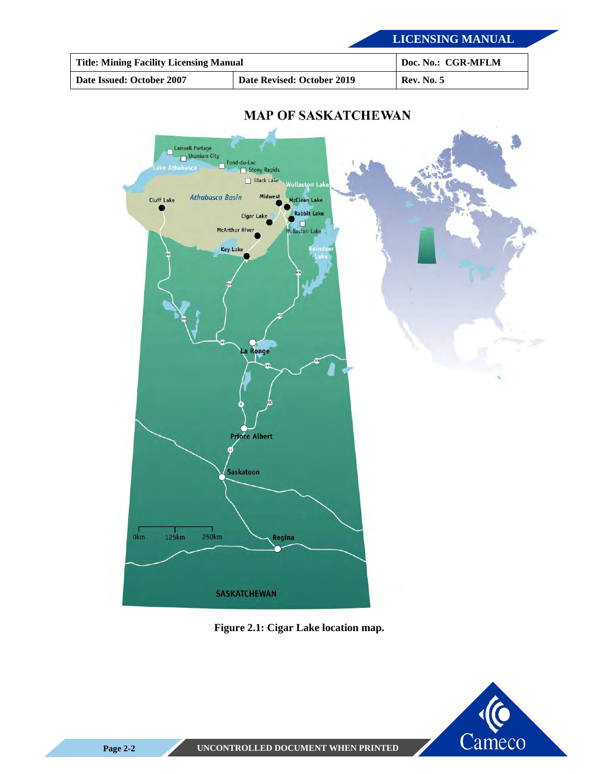| <b>Title: Mining Facility Licensing Manual</b> |                            | Doc. No.: CGR-MFLM |
|------------------------------------------------|----------------------------|--------------------|
| Date Issued: October 2007                      | Date Revised: October 2019 | <b>Rev. No. 5</b>  |



### **MAP OF SASKATCHEWAN**

<span id="page-16-0"></span>**Figure 2.1: Cigar Lake location map.** 

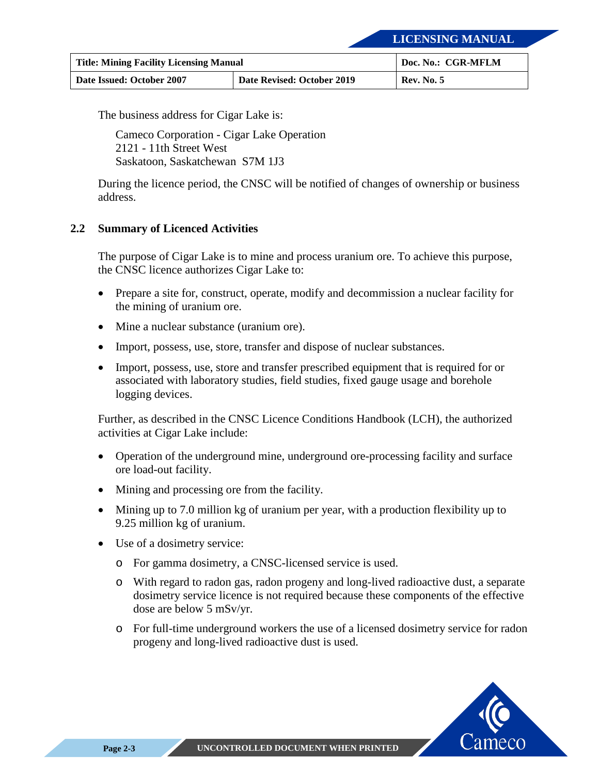| <b>Title: Mining Facility Licensing Manual</b> |                            | Doc. No.: CGR-MFLM |
|------------------------------------------------|----------------------------|--------------------|
| Date Issued: October 2007                      | Date Revised: October 2019 | <b>Rev. No. 5</b>  |

The business address for Cigar Lake is:

Cameco Corporation - Cigar Lake Operation 2121 - 11th Street West Saskatoon, Saskatchewan S7M 1J3

During the licence period, the CNSC will be notified of changes of ownership or business address.

#### <span id="page-17-0"></span>**2.2 Summary of Licenced Activities**

The purpose of Cigar Lake is to mine and process uranium ore. To achieve this purpose, the CNSC licence authorizes Cigar Lake to:

- Prepare a site for, construct, operate, modify and decommission a nuclear facility for the mining of uranium ore.
- Mine a nuclear substance (uranium ore).
- Import, possess, use, store, transfer and dispose of nuclear substances.
- Import, possess, use, store and transfer prescribed equipment that is required for or associated with laboratory studies, field studies, fixed gauge usage and borehole logging devices.

Further, as described in the CNSC Licence Conditions Handbook (LCH), the authorized activities at Cigar Lake include:

- Operation of the underground mine, underground ore-processing facility and surface ore load-out facility.
- Mining and processing ore from the facility.
- Mining up to 7.0 million kg of uranium per year, with a production flexibility up to 9.25 million kg of uranium.
- Use of a dosimetry service:
	- o For gamma dosimetry, a CNSC-licensed service is used.
	- o With regard to radon gas, radon progeny and long-lived radioactive dust, a separate dosimetry service licence is not required because these components of the effective dose are below 5 mSv/yr.
	- o For full-time underground workers the use of a licensed dosimetry service for radon progeny and long-lived radioactive dust is used.

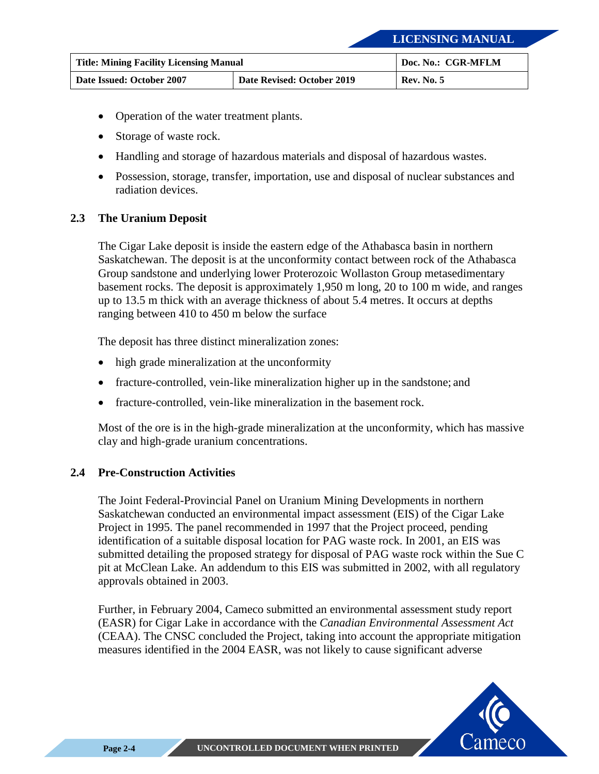| <b>Title: Mining Facility Licensing Manual</b> |                            | Doc. No.: CGR-MFLM |
|------------------------------------------------|----------------------------|--------------------|
| Date Issued: October 2007                      | Date Revised: October 2019 | <b>Rev. No. 5</b>  |

- Operation of the water treatment plants.
- Storage of waste rock.
- Handling and storage of hazardous materials and disposal of hazardous wastes.
- Possession, storage, transfer, importation, use and disposal of nuclear substances and radiation devices.

#### <span id="page-18-0"></span>**2.3 The Uranium Deposit**

The Cigar Lake deposit is inside the eastern edge of the Athabasca basin in northern Saskatchewan. The deposit is at the unconformity contact between rock of the Athabasca Group sandstone and underlying lower Proterozoic Wollaston Group metasedimentary basement rocks. The deposit is approximately 1,950 m long, 20 to 100 m wide, and ranges up to 13.5 m thick with an average thickness of about 5.4 metres. It occurs at depths ranging between 410 to 450 m below the surface

The deposit has three distinct mineralization zones:

- high grade mineralization at the unconformity
- fracture-controlled, vein-like mineralization higher up in the sandstone; and
- fracture-controlled, vein-like mineralization in the basement rock.

Most of the ore is in the high-grade mineralization at the unconformity, which has massive clay and high-grade uranium concentrations.

#### <span id="page-18-1"></span>**2.4 Pre-Construction Activities**

The Joint Federal-Provincial Panel on Uranium Mining Developments in northern Saskatchewan conducted an environmental impact assessment (EIS) of the Cigar Lake Project in 1995. The panel recommended in 1997 that the Project proceed, pending identification of a suitable disposal location for PAG waste rock. In 2001, an EIS was submitted detailing the proposed strategy for disposal of PAG waste rock within the Sue C pit at McClean Lake. An addendum to this EIS was submitted in 2002, with all regulatory approvals obtained in 2003.

Further, in February 2004, Cameco submitted an environmental assessment study report (EASR) for Cigar Lake in accordance with the *Canadian Environmental Assessment Act*  (CEAA). The CNSC concluded the Project, taking into account the appropriate mitigation measures identified in the 2004 EASR, was not likely to cause significant adverse

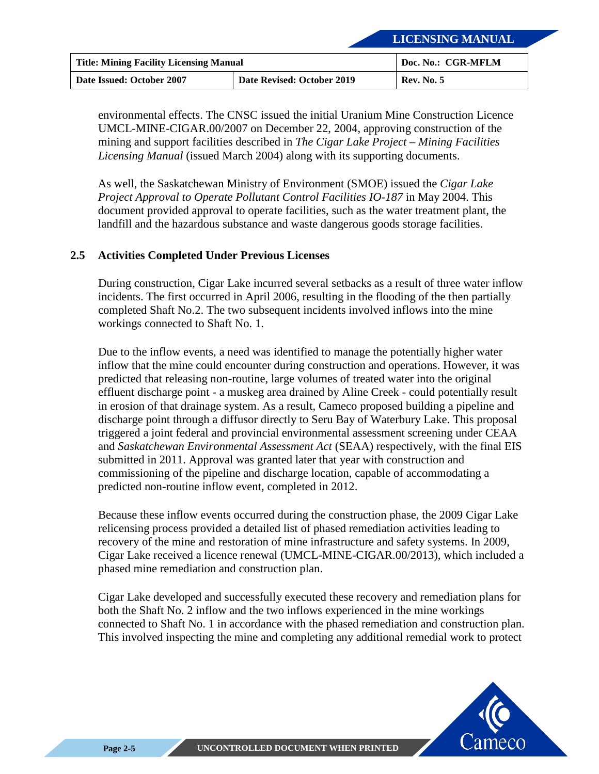| <b>Title: Mining Facility Licensing Manual</b> |                            | Doc. No.: CGR-MFLM |
|------------------------------------------------|----------------------------|--------------------|
| Date Issued: October 2007                      | Date Revised: October 2019 | <b>Rev. No. 5</b>  |

environmental effects. The CNSC issued the initial Uranium Mine Construction Licence UMCL-MINE-CIGAR.00/2007 on December 22, 2004, approving construction of the mining and support facilities described in *The Cigar Lake Project – Mining Facilities Licensing Manual* (issued March 2004) along with its supporting documents.

As well, the Saskatchewan Ministry of Environment (SMOE) issued the *Cigar Lake Project Approval to Operate Pollutant Control Facilities IO-187* in May 2004. This document provided approval to operate facilities, such as the water treatment plant, the landfill and the hazardous substance and waste dangerous goods storage facilities.

#### <span id="page-19-0"></span>**2.5 Activities Completed Under Previous Licenses**

During construction, Cigar Lake incurred several setbacks as a result of three water inflow incidents. The first occurred in April 2006, resulting in the flooding of the then partially completed Shaft No.2. The two subsequent incidents involved inflows into the mine workings connected to Shaft No. 1.

Due to the inflow events, a need was identified to manage the potentially higher water inflow that the mine could encounter during construction and operations. However, it was predicted that releasing non-routine, large volumes of treated water into the original effluent discharge point - a muskeg area drained by Aline Creek - could potentially result in erosion of that drainage system. As a result, Cameco proposed building a pipeline and discharge point through a diffusor directly to Seru Bay of Waterbury Lake. This proposal triggered a joint federal and provincial environmental assessment screening under CEAA and *Saskatchewan Environmental Assessment Act* (SEAA) respectively, with the final EIS submitted in 2011. Approval was granted later that year with construction and commissioning of the pipeline and discharge location, capable of accommodating a predicted non-routine inflow event, completed in 2012.

Because these inflow events occurred during the construction phase, the 2009 Cigar Lake relicensing process provided a detailed list of phased remediation activities leading to recovery of the mine and restoration of mine infrastructure and safety systems. In 2009, Cigar Lake received a licence renewal (UMCL-MINE-CIGAR.00/2013), which included a phased mine remediation and construction plan.

Cigar Lake developed and successfully executed these recovery and remediation plans for both the Shaft No. 2 inflow and the two inflows experienced in the mine workings connected to Shaft No. 1 in accordance with the phased remediation and construction plan. This involved inspecting the mine and completing any additional remedial work to protect

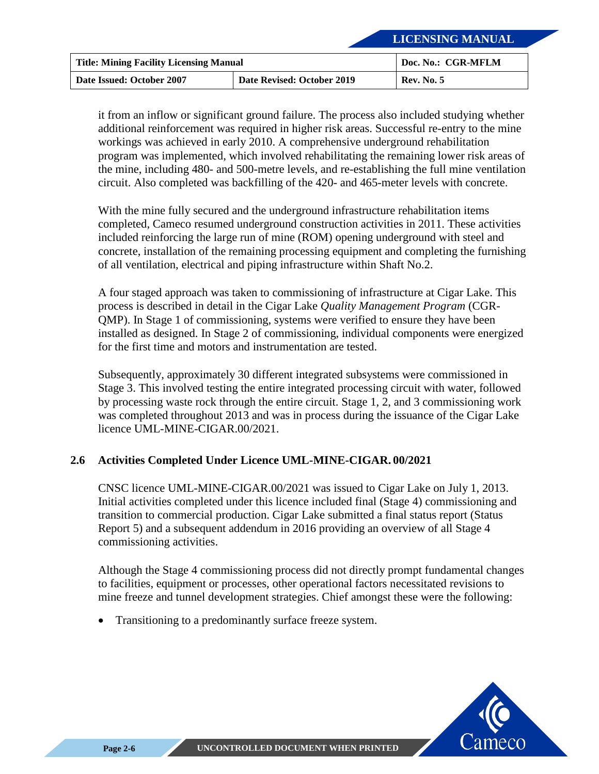| <b>Title: Mining Facility Licensing Manual</b> |                            | Doc. No.: CGR-MFLM |
|------------------------------------------------|----------------------------|--------------------|
| Date Issued: October 2007                      | Date Revised: October 2019 | <b>Rev. No. 5</b>  |

it from an inflow or significant ground failure. The process also included studying whether additional reinforcement was required in higher risk areas. Successful re-entry to the mine workings was achieved in early 2010. A comprehensive underground rehabilitation program was implemented, which involved rehabilitating the remaining lower risk areas of the mine, including 480- and 500-metre levels, and re-establishing the full mine ventilation circuit. Also completed was backfilling of the 420- and 465-meter levels with concrete.

With the mine fully secured and the underground infrastructure rehabilitation items completed, Cameco resumed underground construction activities in 2011. These activities included reinforcing the large run of mine (ROM) opening underground with steel and concrete, installation of the remaining processing equipment and completing the furnishing of all ventilation, electrical and piping infrastructure within Shaft No.2.

A four staged approach was taken to commissioning of infrastructure at Cigar Lake. This process is described in detail in the Cigar Lake *Quality Management Program* (CGR-QMP). In Stage 1 of commissioning, systems were verified to ensure they have been installed as designed. In Stage 2 of commissioning, individual components were energized for the first time and motors and instrumentation are tested.

Subsequently, approximately 30 different integrated subsystems were commissioned in Stage 3. This involved testing the entire integrated processing circuit with water, followed by processing waste rock through the entire circuit. Stage 1, 2, and 3 commissioning work was completed throughout 2013 and was in process during the issuance of the Cigar Lake licence UML-MINE-CIGAR.00/2021.

#### <span id="page-20-0"></span>**2.6 Activities Completed Under Licence UML-MINE-CIGAR. 00/2021**

CNSC licence UML-MINE-CIGAR.00/2021 was issued to Cigar Lake on July 1, 2013. Initial activities completed under this licence included final (Stage 4) commissioning and transition to commercial production. Cigar Lake submitted a final status report (Status Report 5) and a subsequent addendum in 2016 providing an overview of all Stage 4 commissioning activities.

Although the Stage 4 commissioning process did not directly prompt fundamental changes to facilities, equipment or processes, other operational factors necessitated revisions to mine freeze and tunnel development strategies. Chief amongst these were the following:

• Transitioning to a predominantly surface freeze system.

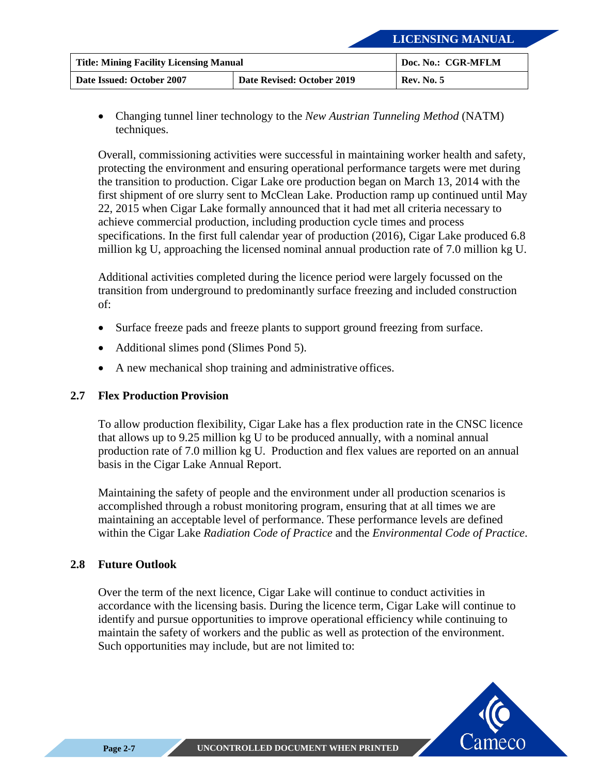| <b>Title: Mining Facility Licensing Manual</b> |                            | Doc. No.: CGR-MFLM |
|------------------------------------------------|----------------------------|--------------------|
| Date Issued: October 2007                      | Date Revised: October 2019 | <b>Rev. No. 5</b>  |

• Changing tunnel liner technology to the *New Austrian Tunneling Method* (NATM) techniques.

Overall, commissioning activities were successful in maintaining worker health and safety, protecting the environment and ensuring operational performance targets were met during the transition to production. Cigar Lake ore production began on March 13, 2014 with the first shipment of ore slurry sent to McClean Lake. Production ramp up continued until May 22, 2015 when Cigar Lake formally announced that it had met all criteria necessary to achieve commercial production, including production cycle times and process specifications. In the first full calendar year of production (2016), Cigar Lake produced 6.8 million kg U, approaching the licensed nominal annual production rate of 7.0 million kg U.

Additional activities completed during the licence period were largely focussed on the transition from underground to predominantly surface freezing and included construction of:

- Surface freeze pads and freeze plants to support ground freezing from surface.
- Additional slimes pond (Slimes Pond 5).
- A new mechanical shop training and administrative offices.

#### <span id="page-21-0"></span>**2.7 Flex Production Provision**

To allow production flexibility, Cigar Lake has a flex production rate in the CNSC licence that allows up to 9.25 million kg U to be produced annually, with a nominal annual production rate of 7.0 million kg U. Production and flex values are reported on an annual basis in the Cigar Lake Annual Report.

Maintaining the safety of people and the environment under all production scenarios is accomplished through a robust monitoring program, ensuring that at all times we are maintaining an acceptable level of performance. These performance levels are defined within the Cigar Lake *Radiation Code of Practice* and the *Environmental Code of Practice*.

#### <span id="page-21-1"></span>**2.8 Future Outlook**

Over the term of the next licence, Cigar Lake will continue to conduct activities in accordance with the licensing basis. During the licence term, Cigar Lake will continue to identify and pursue opportunities to improve operational efficiency while continuing to maintain the safety of workers and the public as well as protection of the environment. Such opportunities may include, but are not limited to:

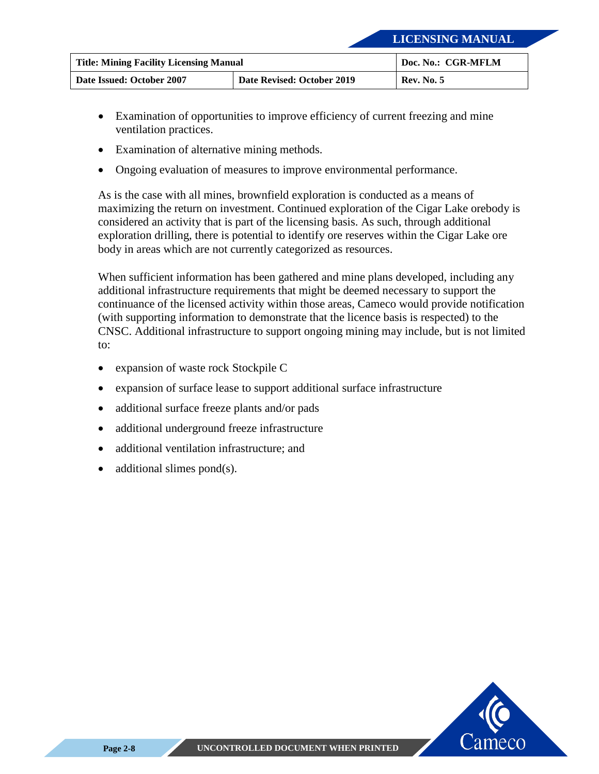| <b>Title: Mining Facility Licensing Manual</b> |                            | Doc. No.: CGR-MFLM |
|------------------------------------------------|----------------------------|--------------------|
| Date Issued: October 2007                      | Date Revised: October 2019 | <b>Rev. No. 5</b>  |

- Examination of opportunities to improve efficiency of current freezing and mine ventilation practices.
- Examination of alternative mining methods.
- Ongoing evaluation of measures to improve environmental performance.

As is the case with all mines, brownfield exploration is conducted as a means of maximizing the return on investment. Continued exploration of the Cigar Lake orebody is considered an activity that is part of the licensing basis. As such, through additional exploration drilling, there is potential to identify ore reserves within the Cigar Lake ore body in areas which are not currently categorized as resources.

When sufficient information has been gathered and mine plans developed, including any additional infrastructure requirements that might be deemed necessary to support the continuance of the licensed activity within those areas, Cameco would provide notification (with supporting information to demonstrate that the licence basis is respected) to the CNSC. Additional infrastructure to support ongoing mining may include, but is not limited to:

- expansion of waste rock Stockpile C
- expansion of surface lease to support additional surface infrastructure
- additional surface freeze plants and/or pads
- additional underground freeze infrastructure
- additional ventilation infrastructure; and
- additional slimes pond $(s)$ .

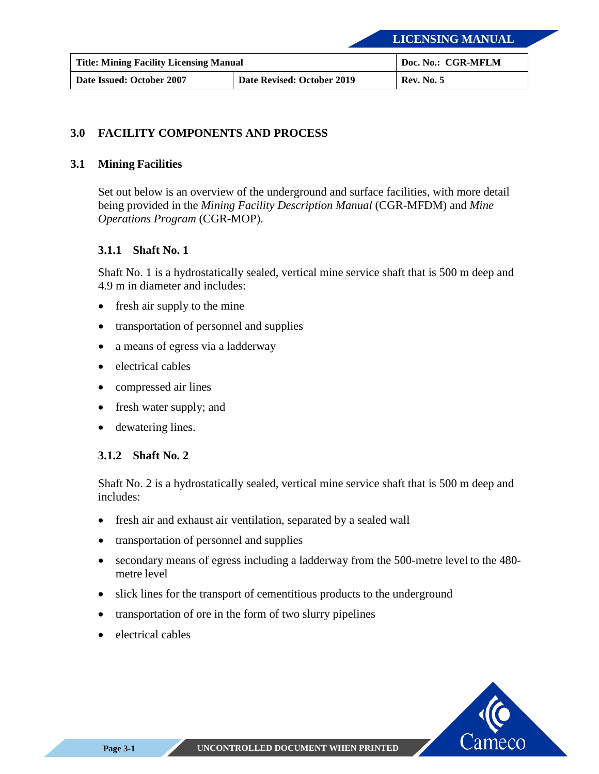| <b>Title: Mining Facility Licensing Manual</b> |                            | Doc. No.: CGR-MFLM |
|------------------------------------------------|----------------------------|--------------------|
| Date Issued: October 2007                      | Date Revised: October 2019 | <b>Rev. No. 5</b>  |

#### <span id="page-23-0"></span>**3.0 FACILITY COMPONENTS AND PROCESS**

#### <span id="page-23-1"></span>**3.1 Mining Facilities**

Set out below is an overview of the underground and surface facilities, with more detail being provided in the *Mining Facility Description Manual* (CGR-MFDM) and *Mine Operations Program* (CGR-MOP).

#### <span id="page-23-2"></span>**3.1.1 Shaft No. 1**

Shaft No. 1 is a hydrostatically sealed, vertical mine service shaft that is 500 m deep and 4.9 m in diameter and includes:

- fresh air supply to the mine
- transportation of personnel and supplies
- a means of egress via a ladderway
- electrical cables
- compressed air lines
- fresh water supply; and
- dewatering lines.

#### <span id="page-23-3"></span>**3.1.2 Shaft No. 2**

Shaft No. 2 is a hydrostatically sealed, vertical mine service shaft that is 500 m deep and includes:

- fresh air and exhaust air ventilation, separated by a sealed wall
- transportation of personnel and supplies
- secondary means of egress including a ladderway from the 500-metre level to the 480 metre level
- slick lines for the transport of cementitious products to the underground
- transportation of ore in the form of two slurry pipelines
- electrical cables

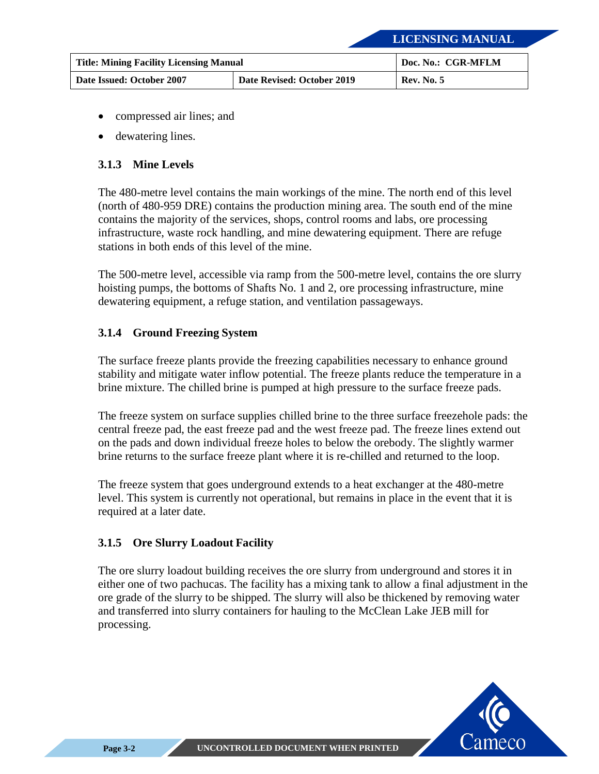| <b>Title: Mining Facility Licensing Manual</b> |                            | Doc. No.: CGR-MFLM |
|------------------------------------------------|----------------------------|--------------------|
| Date Issued: October 2007                      | Date Revised: October 2019 | <b>Rev. No. 5</b>  |

- compressed air lines; and
- dewatering lines.

#### <span id="page-24-0"></span>**3.1.3 Mine Levels**

The 480-metre level contains the main workings of the mine. The north end of this level (north of 480-959 DRE) contains the production mining area. The south end of the mine contains the majority of the services, shops, control rooms and labs, ore processing infrastructure, waste rock handling, and mine dewatering equipment. There are refuge stations in both ends of this level of the mine.

The 500-metre level, accessible via ramp from the 500-metre level, contains the ore slurry hoisting pumps, the bottoms of Shafts No. 1 and 2, ore processing infrastructure, mine dewatering equipment, a refuge station, and ventilation passageways.

#### <span id="page-24-1"></span>**3.1.4 Ground Freezing System**

The surface freeze plants provide the freezing capabilities necessary to enhance ground stability and mitigate water inflow potential. The freeze plants reduce the temperature in a brine mixture. The chilled brine is pumped at high pressure to the surface freeze pads.

The freeze system on surface supplies chilled brine to the three surface freezehole pads: the central freeze pad, the east freeze pad and the west freeze pad. The freeze lines extend out on the pads and down individual freeze holes to below the orebody. The slightly warmer brine returns to the surface freeze plant where it is re-chilled and returned to the loop.

The freeze system that goes underground extends to a heat exchanger at the 480-metre level. This system is currently not operational, but remains in place in the event that it is required at a later date.

#### <span id="page-24-2"></span>**3.1.5 Ore Slurry Loadout Facility**

The ore slurry loadout building receives the ore slurry from underground and stores it in either one of two pachucas. The facility has a mixing tank to allow a final adjustment in the ore grade of the slurry to be shipped. The slurry will also be thickened by removing water and transferred into slurry containers for hauling to the McClean Lake JEB mill for processing.

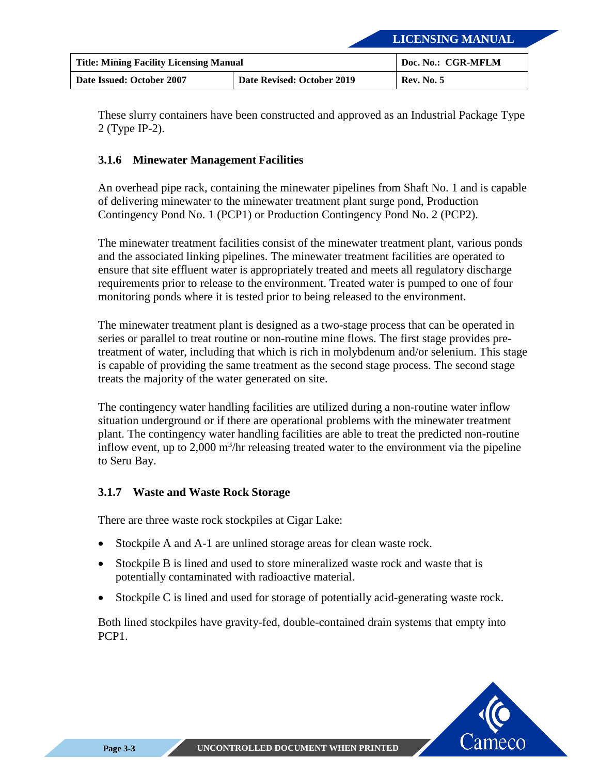| <b>Title: Mining Facility Licensing Manual</b> |                            | Doc. No.: CGR-MFLM |
|------------------------------------------------|----------------------------|--------------------|
| Date Issued: October 2007                      | Date Revised: October 2019 | <b>Rev. No. 5</b>  |

These slurry containers have been constructed and approved as an Industrial Package Type 2 (Type IP-2).

#### <span id="page-25-0"></span>**3.1.6 Minewater Management Facilities**

An overhead pipe rack, containing the minewater pipelines from Shaft No. 1 and is capable of delivering minewater to the minewater treatment plant surge pond, Production Contingency Pond No. 1 (PCP1) or Production Contingency Pond No. 2 (PCP2).

The minewater treatment facilities consist of the minewater treatment plant, various ponds and the associated linking pipelines. The minewater treatment facilities are operated to ensure that site effluent water is appropriately treated and meets all regulatory discharge requirements prior to release to the environment. Treated water is pumped to one of four monitoring ponds where it is tested prior to being released to the environment.

The minewater treatment plant is designed as a two-stage process that can be operated in series or parallel to treat routine or non-routine mine flows. The first stage provides pretreatment of water, including that which is rich in molybdenum and/or selenium. This stage is capable of providing the same treatment as the second stage process. The second stage treats the majority of the water generated on site.

The contingency water handling facilities are utilized during a non-routine water inflow situation underground or if there are operational problems with the minewater treatment plant. The contingency water handling facilities are able to treat the predicted non-routine inflow event, up to 2,000  $\mathrm{m}^3$ /hr releasing treated water to the environment via the pipeline to Seru Bay.

#### <span id="page-25-1"></span>**3.1.7 Waste and Waste Rock Storage**

There are three waste rock stockpiles at Cigar Lake:

- Stockpile A and A-1 are unlined storage areas for clean waste rock.
- Stockpile B is lined and used to store mineralized waste rock and waste that is potentially contaminated with radioactive material.
- Stockpile C is lined and used for storage of potentially acid-generating waste rock.

Both lined stockpiles have gravity-fed, double-contained drain systems that empty into PCP1.

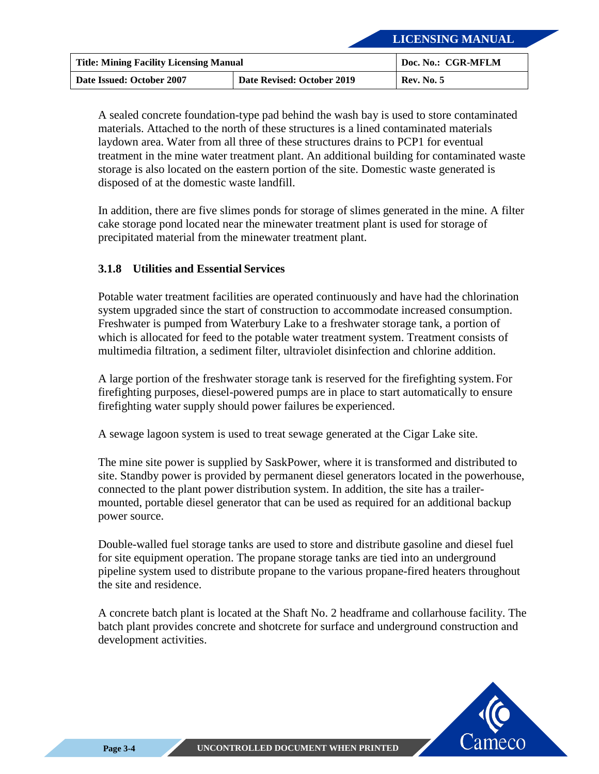| <b>Title: Mining Facility Licensing Manual</b> |                            | Doc. No.: CGR-MFLM |
|------------------------------------------------|----------------------------|--------------------|
| Date Issued: October 2007                      | Date Revised: October 2019 | <b>Rev. No. 5</b>  |

A sealed concrete foundation-type pad behind the wash bay is used to store contaminated materials. Attached to the north of these structures is a lined contaminated materials laydown area. Water from all three of these structures drains to PCP1 for eventual treatment in the mine water treatment plant. An additional building for contaminated waste storage is also located on the eastern portion of the site. Domestic waste generated is disposed of at the domestic waste landfill.

In addition, there are five slimes ponds for storage of slimes generated in the mine. A filter cake storage pond located near the minewater treatment plant is used for storage of precipitated material from the minewater treatment plant.

#### <span id="page-26-0"></span>**3.1.8 Utilities and Essential Services**

Potable water treatment facilities are operated continuously and have had the chlorination system upgraded since the start of construction to accommodate increased consumption. Freshwater is pumped from Waterbury Lake to a freshwater storage tank, a portion of which is allocated for feed to the potable water treatment system. Treatment consists of multimedia filtration, a sediment filter, ultraviolet disinfection and chlorine addition.

A large portion of the freshwater storage tank is reserved for the firefighting system. For firefighting purposes, diesel-powered pumps are in place to start automatically to ensure firefighting water supply should power failures be experienced.

A sewage lagoon system is used to treat sewage generated at the Cigar Lake site.

The mine site power is supplied by SaskPower, where it is transformed and distributed to site. Standby power is provided by permanent diesel generators located in the powerhouse, connected to the plant power distribution system. In addition, the site has a trailermounted, portable diesel generator that can be used as required for an additional backup power source.

Double-walled fuel storage tanks are used to store and distribute gasoline and diesel fuel for site equipment operation. The propane storage tanks are tied into an underground pipeline system used to distribute propane to the various propane-fired heaters throughout the site and residence.

A concrete batch plant is located at the Shaft No. 2 headframe and collarhouse facility. The batch plant provides concrete and shotcrete for surface and underground construction and development activities.

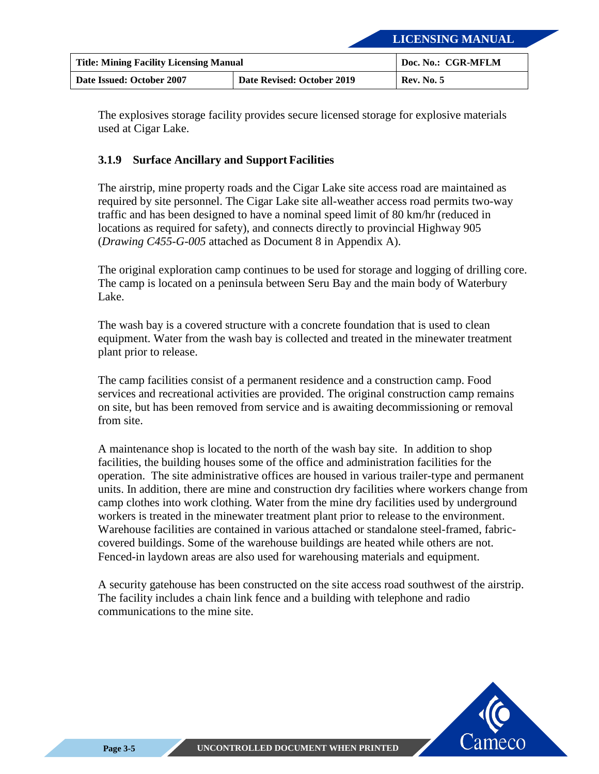| <b>Title: Mining Facility Licensing Manual</b> |                            | Doc. No.: CGR-MFLM |
|------------------------------------------------|----------------------------|--------------------|
| Date Issued: October 2007                      | Date Revised: October 2019 | <b>Rev. No. 5</b>  |

The explosives storage facility provides secure licensed storage for explosive materials used at Cigar Lake.

#### <span id="page-27-0"></span>**3.1.9 Surface Ancillary and Support Facilities**

The airstrip, mine property roads and the Cigar Lake site access road are maintained as required by site personnel. The Cigar Lake site all-weather access road permits two-way traffic and has been designed to have a nominal speed limit of 80 km/hr (reduced in locations as required for safety), and connects directly to provincial Highway 905 (*Drawing C455-G-005* attached a[s Document 8 in Appendix A\)](#page-49-0).

The original exploration camp continues to be used for storage and logging of drilling core. The camp is located on a peninsula between Seru Bay and the main body of Waterbury Lake.

The wash bay is a covered structure with a concrete foundation that is used to clean equipment. Water from the wash bay is collected and treated in the minewater treatment plant prior to release.

The camp facilities consist of a permanent residence and a construction camp. Food services and recreational activities are provided. The original construction camp remains on site, but has been removed from service and is awaiting decommissioning or removal from site.

A maintenance shop is located to the north of the wash bay site. In addition to shop facilities, the building houses some of the office and administration facilities for the operation. The site administrative offices are housed in various trailer-type and permanent units. In addition, there are mine and construction dry facilities where workers change from camp clothes into work clothing. Water from the mine dry facilities used by underground workers is treated in the minewater treatment plant prior to release to the environment. Warehouse facilities are contained in various attached or standalone steel-framed, fabriccovered buildings. Some of the warehouse buildings are heated while others are not. Fenced-in laydown areas are also used for warehousing materials and equipment.

A security gatehouse has been constructed on the site access road southwest of the airstrip. The facility includes a chain link fence and a building with telephone and radio communications to the mine site.

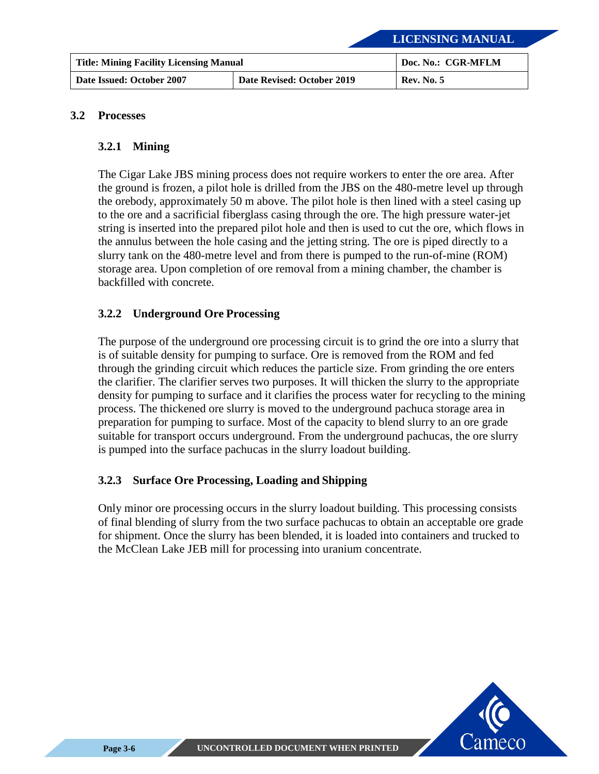| <b>Title: Mining Facility Licensing Manual</b> |                            | Doc. No.: CGR-MFLM |
|------------------------------------------------|----------------------------|--------------------|
| Date Issued: October 2007                      | Date Revised: October 2019 | <b>Rev. No. 5</b>  |

#### <span id="page-28-1"></span><span id="page-28-0"></span>**3.2 Processes**

#### **3.2.1 Mining**

The Cigar Lake JBS mining process does not require workers to enter the ore area. After the ground is frozen, a pilot hole is drilled from the JBS on the 480-metre level up through the orebody, approximately 50 m above. The pilot hole is then lined with a steel casing up to the ore and a sacrificial fiberglass casing through the ore. The high pressure water-jet string is inserted into the prepared pilot hole and then is used to cut the ore, which flows in the annulus between the hole casing and the jetting string. The ore is piped directly to a slurry tank on the 480-metre level and from there is pumped to the run-of-mine (ROM) storage area. Upon completion of ore removal from a mining chamber, the chamber is backfilled with concrete.

#### <span id="page-28-2"></span>**3.2.2 Underground Ore Processing**

The purpose of the underground ore processing circuit is to grind the ore into a slurry that is of suitable density for pumping to surface. Ore is removed from the ROM and fed through the grinding circuit which reduces the particle size. From grinding the ore enters the clarifier. The clarifier serves two purposes. It will thicken the slurry to the appropriate density for pumping to surface and it clarifies the process water for recycling to the mining process. The thickened ore slurry is moved to the underground pachuca storage area in preparation for pumping to surface. Most of the capacity to blend slurry to an ore grade suitable for transport occurs underground. From the underground pachucas, the ore slurry is pumped into the surface pachucas in the slurry loadout building.

#### <span id="page-28-3"></span>**3.2.3 Surface Ore Processing, Loading and Shipping**

Only minor ore processing occurs in the slurry loadout building. This processing consists of final blending of slurry from the two surface pachucas to obtain an acceptable ore grade for shipment. Once the slurry has been blended, it is loaded into containers and trucked to the McClean Lake JEB mill for processing into uranium concentrate.

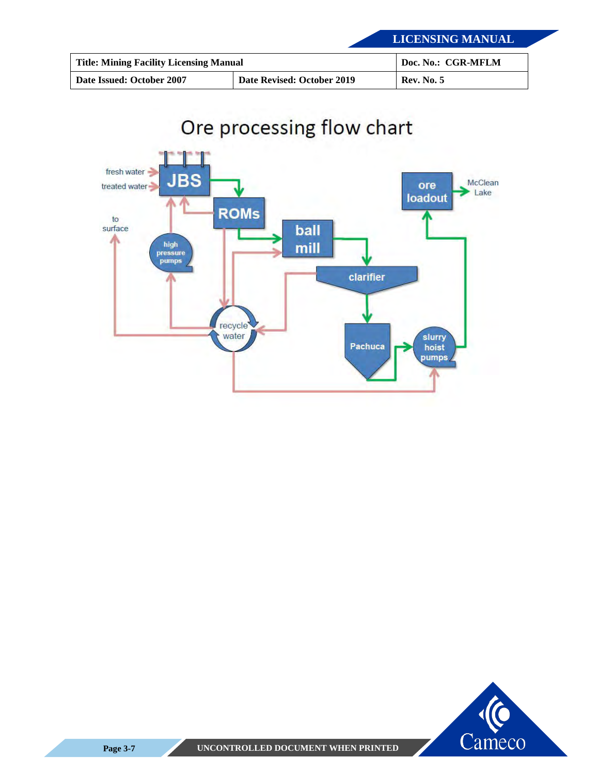| <b>Title: Mining Facility Licensing Manual</b> |                            | Doc. No.: CGR-MFLM |
|------------------------------------------------|----------------------------|--------------------|
| Date Issued: October 2007                      | Date Revised: October 2019 | <b>Rev. No. 5</b>  |



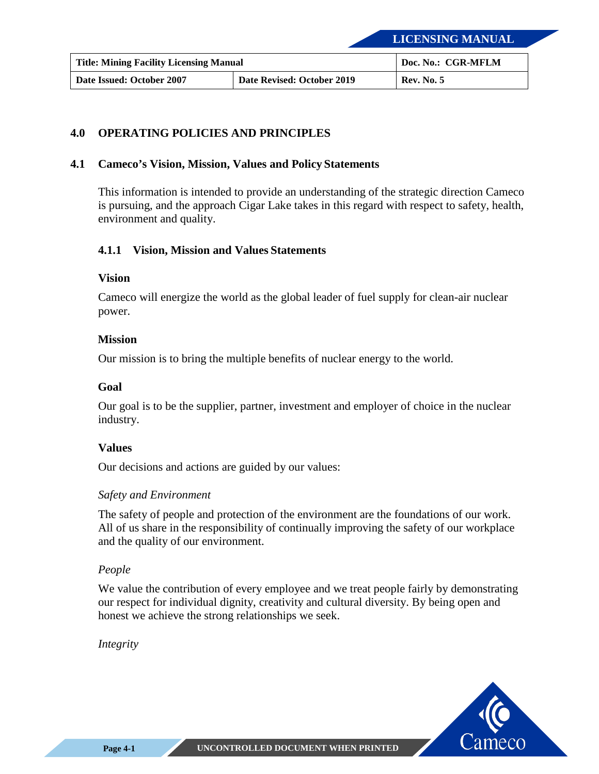| <b>Title: Mining Facility Licensing Manual</b> |                            | Doc. No.: CGR-MFLM |
|------------------------------------------------|----------------------------|--------------------|
| Date Issued: October 2007                      | Date Revised: October 2019 | <b>Rev. No. 5</b>  |

#### <span id="page-30-0"></span>**4.0 OPERATING POLICIES AND PRINCIPLES**

#### <span id="page-30-1"></span>**4.1 Cameco's Vision, Mission, Values and Policy Statements**

This information is intended to provide an understanding of the strategic direction Cameco is pursuing, and the approach Cigar Lake takes in this regard with respect to safety, health, environment and quality.

#### <span id="page-30-2"></span>**4.1.1 Vision, Mission and Values Statements**

#### **Vision**

Cameco will energize the world as the global leader of fuel supply for clean-air nuclear power.

#### **Mission**

Our mission is to bring the multiple benefits of nuclear energy to the world.

#### **Goal**

Our goal is to be the supplier, partner, investment and employer of choice in the nuclear industry.

#### **Values**

Our decisions and actions are guided by our values:

#### *Safety and Environment*

The safety of people and protection of the environment are the foundations of our work. All of us share in the responsibility of continually improving the safety of our workplace and the quality of our environment.

#### *People*

We value the contribution of every employee and we treat people fairly by demonstrating our respect for individual dignity, creativity and cultural diversity. By being open and honest we achieve the strong relationships we seek.

*Integrity*

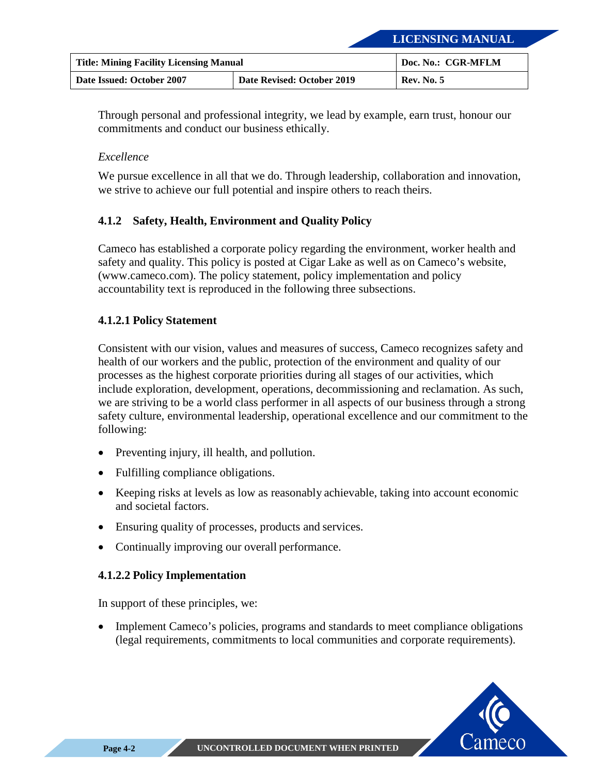| <b>Title: Mining Facility Licensing Manual</b> |                            | Doc. No.: CGR-MFLM |
|------------------------------------------------|----------------------------|--------------------|
| Date Issued: October 2007                      | Date Revised: October 2019 | <b>Rev. No. 5</b>  |

Through personal and professional integrity, we lead by example, earn trust, honour our commitments and conduct our business ethically.

#### *Excellence*

We pursue excellence in all that we do. Through leadership, collaboration and innovation, we strive to achieve our full potential and inspire others to reach theirs.

#### <span id="page-31-0"></span>**4.1.2 Safety, Health, Environment and Quality Policy**

Cameco has established a corporate policy regarding the environment, worker health and safety and quality. This policy is posted at Cigar Lake as well as on Cameco's website, (www.cameco.com). The policy statement, policy implementation and policy accountability text is reproduced in the following three subsections.

#### **4.1.2.1 Policy Statement**

Consistent with our vision, values and measures of success, Cameco recognizes safety and health of our workers and the public, protection of the environment and quality of our processes as the highest corporate priorities during all stages of our activities, which include exploration, development, operations, decommissioning and reclamation. As such, we are striving to be a world class performer in all aspects of our business through a strong safety culture, environmental leadership, operational excellence and our commitment to the following:

- Preventing injury, ill health, and pollution.
- Fulfilling compliance obligations.
- Keeping risks at levels as low as reasonably achievable, taking into account economic and societal factors.
- Ensuring quality of processes, products and services.
- Continually improving our overall performance.

#### **4.1.2.2 Policy Implementation**

In support of these principles, we:

• Implement Cameco's policies, programs and standards to meet compliance obligations (legal requirements, commitments to local communities and corporate requirements).

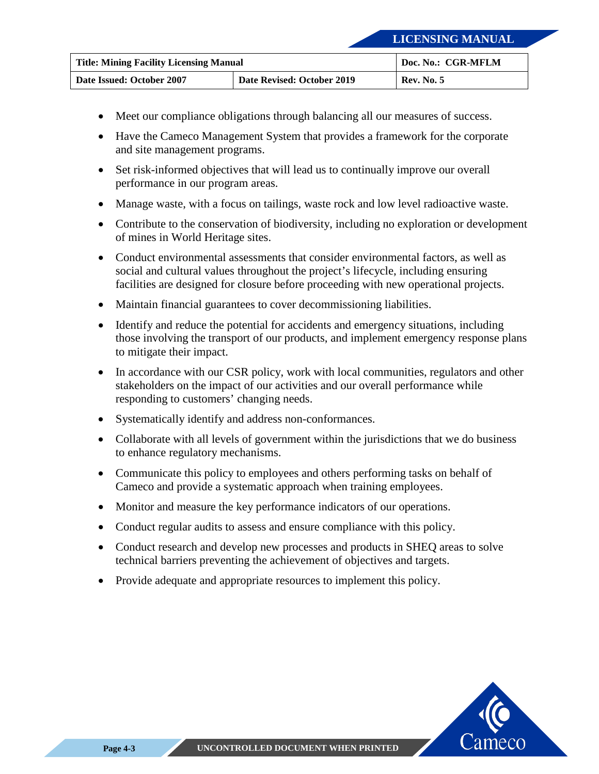| <b>Title: Mining Facility Licensing Manual</b> |                            | Doc. No.: CGR-MFLM |
|------------------------------------------------|----------------------------|--------------------|
| Date Issued: October 2007                      | Date Revised: October 2019 | <b>Rev. No. 5</b>  |

- Meet our compliance obligations through balancing all our measures of success.
- Have the Cameco Management System that provides a framework for the corporate and site management programs.
- Set risk-informed objectives that will lead us to continually improve our overall performance in our program areas.
- Manage waste, with a focus on tailings, waste rock and low level radioactive waste.
- Contribute to the conservation of biodiversity, including no exploration or development of mines in World Heritage sites.
- Conduct environmental assessments that consider environmental factors, as well as social and cultural values throughout the project's lifecycle, including ensuring facilities are designed for closure before proceeding with new operational projects.
- Maintain financial guarantees to cover decommissioning liabilities.
- Identify and reduce the potential for accidents and emergency situations, including those involving the transport of our products, and implement emergency response plans to mitigate their impact.
- In accordance with our CSR policy, work with local communities, regulators and other stakeholders on the impact of our activities and our overall performance while responding to customers' changing needs.
- Systematically identify and address non-conformances.
- Collaborate with all levels of government within the jurisdictions that we do business to enhance regulatory mechanisms.
- Communicate this policy to employees and others performing tasks on behalf of Cameco and provide a systematic approach when training employees.
- Monitor and measure the key performance indicators of our operations.
- Conduct regular audits to assess and ensure compliance with this policy.
- Conduct research and develop new processes and products in SHEQ areas to solve technical barriers preventing the achievement of objectives and targets.
- Provide adequate and appropriate resources to implement this policy.

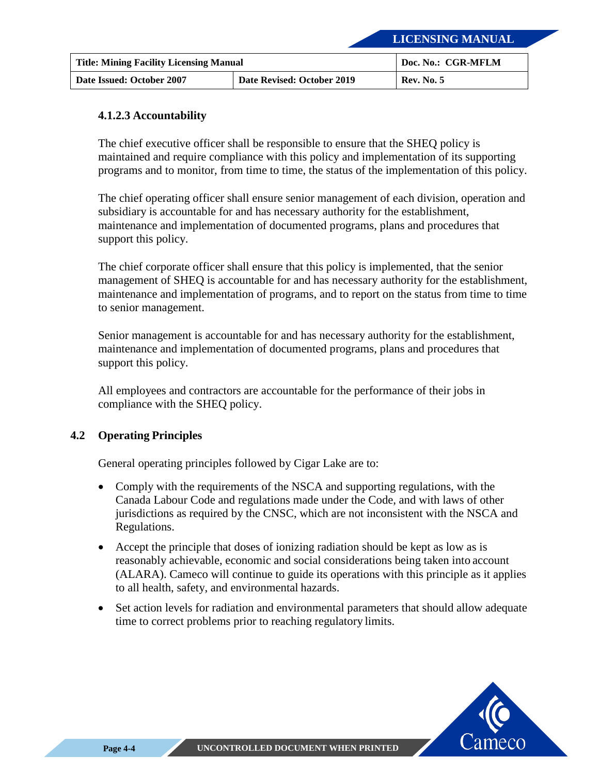| <b>Title: Mining Facility Licensing Manual</b> |                            | Doc. No.: CGR-MFLM |
|------------------------------------------------|----------------------------|--------------------|
| Date Issued: October 2007                      | Date Revised: October 2019 | <b>Rev. No. 5</b>  |

#### **4.1.2.3 Accountability**

The chief executive officer shall be responsible to ensure that the SHEQ policy is maintained and require compliance with this policy and implementation of its supporting programs and to monitor, from time to time, the status of the implementation of this policy.

The chief operating officer shall ensure senior management of each division, operation and subsidiary is accountable for and has necessary authority for the establishment, maintenance and implementation of documented programs, plans and procedures that support this policy.

The chief corporate officer shall ensure that this policy is implemented, that the senior management of SHEQ is accountable for and has necessary authority for the establishment, maintenance and implementation of programs, and to report on the status from time to time to senior management.

Senior management is accountable for and has necessary authority for the establishment, maintenance and implementation of documented programs, plans and procedures that support this policy.

All employees and contractors are accountable for the performance of their jobs in compliance with the SHEQ policy.

#### <span id="page-33-0"></span>**4.2 Operating Principles**

General operating principles followed by Cigar Lake are to:

- Comply with the requirements of the NSCA and supporting regulations, with the Canada Labour Code and regulations made under the Code, and with laws of other jurisdictions as required by the CNSC, which are not inconsistent with the NSCA and Regulations.
- Accept the principle that doses of ionizing radiation should be kept as low as is reasonably achievable, economic and social considerations being taken into account (ALARA). Cameco will continue to guide its operations with this principle as it applies to all health, safety, and environmental hazards.
- Set action levels for radiation and environmental parameters that should allow adequate time to correct problems prior to reaching regulatory limits.

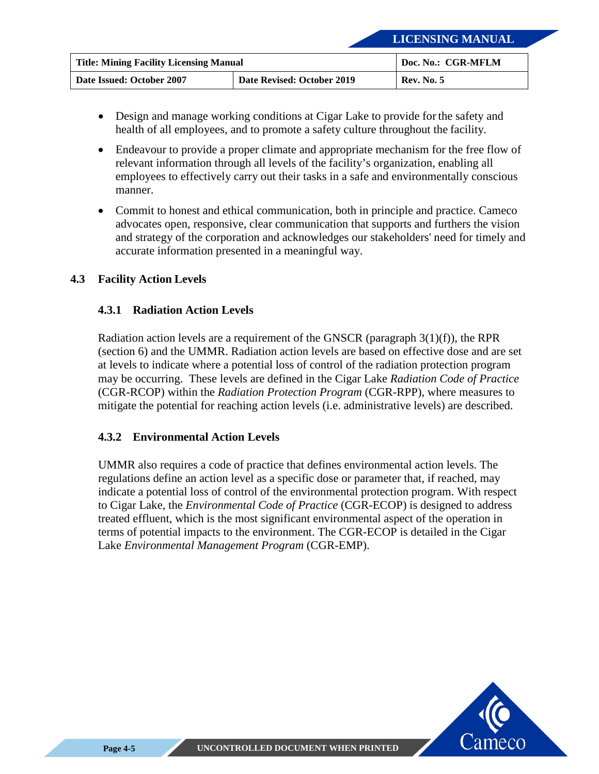| <b>Title: Mining Facility Licensing Manual</b> |                            | Doc. No.: CGR-MFLM |
|------------------------------------------------|----------------------------|--------------------|
| Date Issued: October 2007                      | Date Revised: October 2019 | <b>Rev. No. 5</b>  |

- Design and manage working conditions at Cigar Lake to provide for the safety and health of all employees, and to promote a safety culture throughout the facility.
- Endeavour to provide a proper climate and appropriate mechanism for the free flow of relevant information through all levels of the facility's organization, enabling all employees to effectively carry out their tasks in a safe and environmentally conscious manner.
- Commit to honest and ethical communication, both in principle and practice. Cameco advocates open, responsive, clear communication that supports and furthers the vision and strategy of the corporation and acknowledges our stakeholders' need for timely and accurate information presented in a meaningful way.

#### <span id="page-34-1"></span><span id="page-34-0"></span>**4.3 Facility Action Levels**

#### **4.3.1 Radiation Action Levels**

Radiation action levels are a requirement of the GNSCR (paragraph  $3(1)(f)$ ), the RPR (section 6) and the UMMR. Radiation action levels are based on effective dose and are set at levels to indicate where a potential loss of control of the radiation protection program may be occurring. These levels are defined in the Cigar Lake *Radiation Code of Practice*  (CGR-RCOP) within the *Radiation Protection Program* (CGR-RPP), where measures to mitigate the potential for reaching action levels (i.e. administrative levels) are described.

#### <span id="page-34-2"></span>**4.3.2 Environmental Action Levels**

UMMR also requires a code of practice that defines environmental action levels. The regulations define an action level as a specific dose or parameter that, if reached, may indicate a potential loss of control of the environmental protection program. With respect to Cigar Lake, the *Environmental Code of Practice* (CGR-ECOP) is designed to address treated effluent, which is the most significant environmental aspect of the operation in terms of potential impacts to the environment. The CGR-ECOP is detailed in the Cigar Lake *Environmental Management Program* (CGR-EMP).

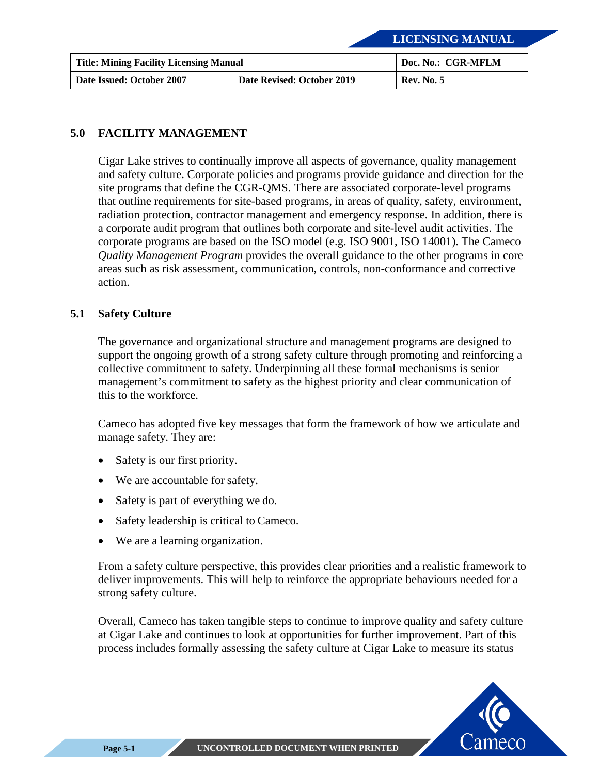| <b>Title: Mining Facility Licensing Manual</b> |                            | Doc. No.: CGR-MFLM |
|------------------------------------------------|----------------------------|--------------------|
| Date Issued: October 2007                      | Date Revised: October 2019 | <b>Rev. No. 5</b>  |

#### <span id="page-35-0"></span>**5.0 FACILITY MANAGEMENT**

Cigar Lake strives to continually improve all aspects of governance, quality management and safety culture. Corporate policies and programs provide guidance and direction for the site programs that define the CGR-QMS. There are associated corporate-level programs that outline requirements for site-based programs, in areas of quality, safety, environment, radiation protection, contractor management and emergency response. In addition, there is a corporate audit program that outlines both corporate and site-level audit activities. The corporate programs are based on the ISO model (e.g. ISO 9001, ISO 14001). The Cameco *Quality Management Program* provides the overall guidance to the other programs in core areas such as risk assessment, communication, controls, non-conformance and corrective action.

#### <span id="page-35-1"></span>**5.1 Safety Culture**

The governance and organizational structure and management programs are designed to support the ongoing growth of a strong safety culture through promoting and reinforcing a collective commitment to safety. Underpinning all these formal mechanisms is senior management's commitment to safety as the highest priority and clear communication of this to the workforce.

Cameco has adopted five key messages that form the framework of how we articulate and manage safety. They are:

- Safety is our first priority.
- We are accountable for safety.
- Safety is part of everything we do.
- Safety leadership is critical to Cameco.
- We are a learning organization.

From a safety culture perspective, this provides clear priorities and a realistic framework to deliver improvements. This will help to reinforce the appropriate behaviours needed for a strong safety culture.

Overall, Cameco has taken tangible steps to continue to improve quality and safety culture at Cigar Lake and continues to look at opportunities for further improvement. Part of this process includes formally assessing the safety culture at Cigar Lake to measure its status

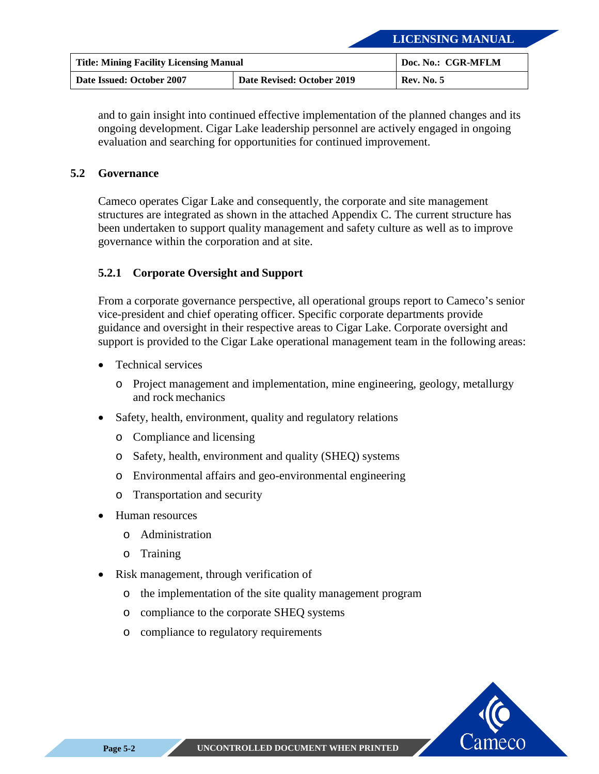| <b>Title: Mining Facility Licensing Manual</b> |                            | Doc. No.: CGR-MFLM |
|------------------------------------------------|----------------------------|--------------------|
| Date Issued: October 2007                      | Date Revised: October 2019 | <b>Rev. No. 5</b>  |

and to gain insight into continued effective implementation of the planned changes and its ongoing development. Cigar Lake leadership personnel are actively engaged in ongoing evaluation and searching for opportunities for continued improvement.

#### <span id="page-36-0"></span>**5.2 Governance**

Cameco operates Cigar Lake and consequently, the corporate and site management structures are integrated as shown in the attached [Appendix C.](#page-53-0) The current structure has been undertaken to support quality management and safety culture as well as to improve governance within the corporation and at site.

#### <span id="page-36-1"></span>**5.2.1 Corporate Oversight and Support**

From a corporate governance perspective, all operational groups report to Cameco's senior vice-president and chief operating officer. Specific corporate departments provide guidance and oversight in their respective areas to Cigar Lake. Corporate oversight and support is provided to the Cigar Lake operational management team in the following areas:

- Technical services
	- o Project management and implementation, mine engineering, geology, metallurgy and rock mechanics
- Safety, health, environment, quality and regulatory relations
	- o Compliance and licensing
	- o Safety, health, environment and quality (SHEQ) systems
	- o Environmental affairs and geo-environmental engineering
	- o Transportation and security
- Human resources
	- o Administration
	- o Training
- Risk management, through verification of
	- o the implementation of the site quality management program
	- o compliance to the corporate SHEQ systems
	- o compliance to regulatory requirements

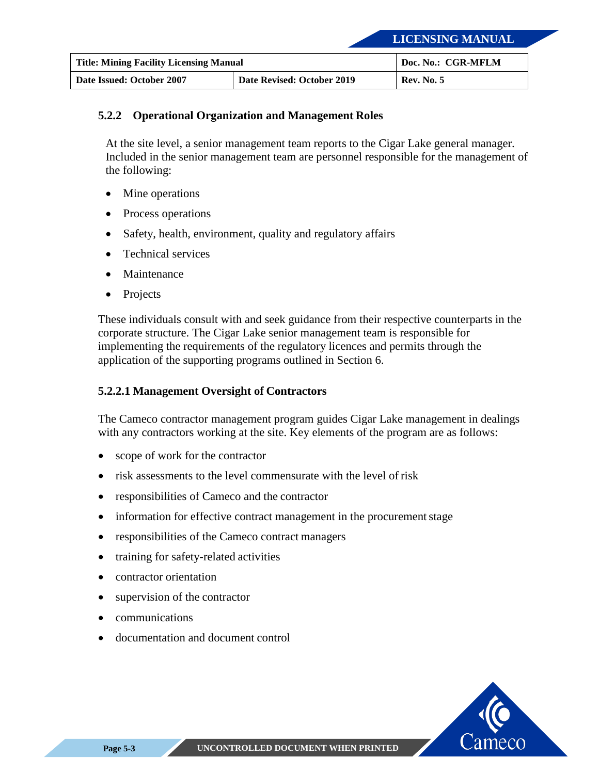| <b>Title: Mining Facility Licensing Manual</b> |                            | Doc. No.: CGR-MFLM |
|------------------------------------------------|----------------------------|--------------------|
| Date Issued: October 2007                      | Date Revised: October 2019 | <b>Rev. No. 5</b>  |

#### <span id="page-37-0"></span>**5.2.2 Operational Organization and Management Roles**

At the site level, a senior management team reports to the Cigar Lake general manager. Included in the senior management team are personnel responsible for the management of the following:

- Mine operations
- Process operations
- Safety, health, environment, quality and regulatory affairs
- Technical services
- **Maintenance**
- **Projects**

These individuals consult with and seek guidance from their respective counterparts in the corporate structure. The Cigar Lake senior management team is responsible for implementing the requirements of the regulatory licences and permits through the application of the supporting programs outlined in Section 6.

#### **5.2.2.1 Management Oversight of Contractors**

The Cameco contractor management program guides Cigar Lake management in dealings with any contractors working at the site. Key elements of the program are as follows:

- scope of work for the contractor
- risk assessments to the level commensurate with the level of risk
- responsibilities of Cameco and the contractor
- information for effective contract management in the procurement stage
- responsibilities of the Cameco contract managers
- training for safety-related activities
- contractor orientation
- supervision of the contractor
- communications
- documentation and document control

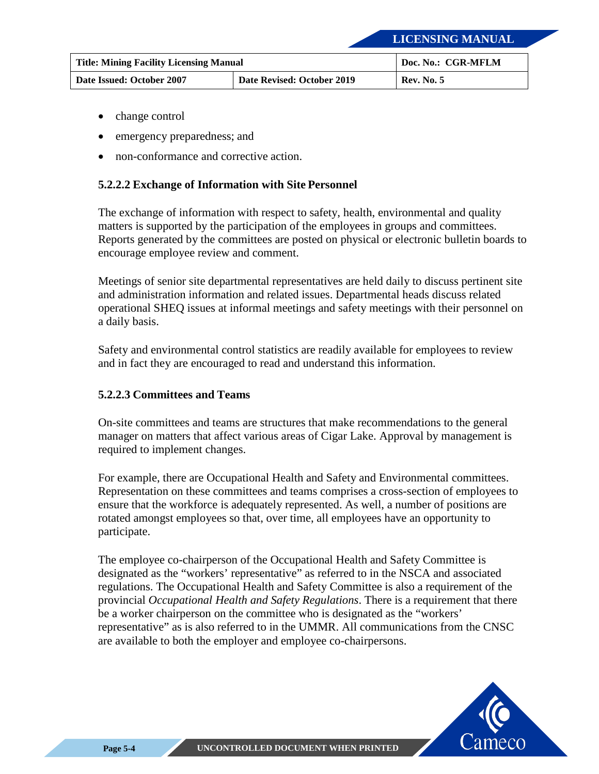| <b>Title: Mining Facility Licensing Manual</b> |                            | Doc. No.: CGR-MFLM |
|------------------------------------------------|----------------------------|--------------------|
| Date Issued: October 2007                      | Date Revised: October 2019 | <b>Rev. No. 5</b>  |

- change control
- emergency preparedness; and
- non-conformance and corrective action.

#### **5.2.2.2 Exchange of Information with Site Personnel**

The exchange of information with respect to safety, health, environmental and quality matters is supported by the participation of the employees in groups and committees. Reports generated by the committees are posted on physical or electronic bulletin boards to encourage employee review and comment.

Meetings of senior site departmental representatives are held daily to discuss pertinent site and administration information and related issues. Departmental heads discuss related operational SHEQ issues at informal meetings and safety meetings with their personnel on a daily basis.

Safety and environmental control statistics are readily available for employees to review and in fact they are encouraged to read and understand this information.

#### **5.2.2.3 Committees and Teams**

On-site committees and teams are structures that make recommendations to the general manager on matters that affect various areas of Cigar Lake. Approval by management is required to implement changes.

For example, there are Occupational Health and Safety and Environmental committees. Representation on these committees and teams comprises a cross-section of employees to ensure that the workforce is adequately represented. As well, a number of positions are rotated amongst employees so that, over time, all employees have an opportunity to participate.

The employee co-chairperson of the Occupational Health and Safety Committee is designated as the "workers' representative" as referred to in the NSCA and associated regulations. The Occupational Health and Safety Committee is also a requirement of the provincial *Occupational Health and Safety Regulations*. There is a requirement that there be a worker chairperson on the committee who is designated as the "workers' representative" as is also referred to in the UMMR. All communications from the CNSC are available to both the employer and employee co-chairpersons.

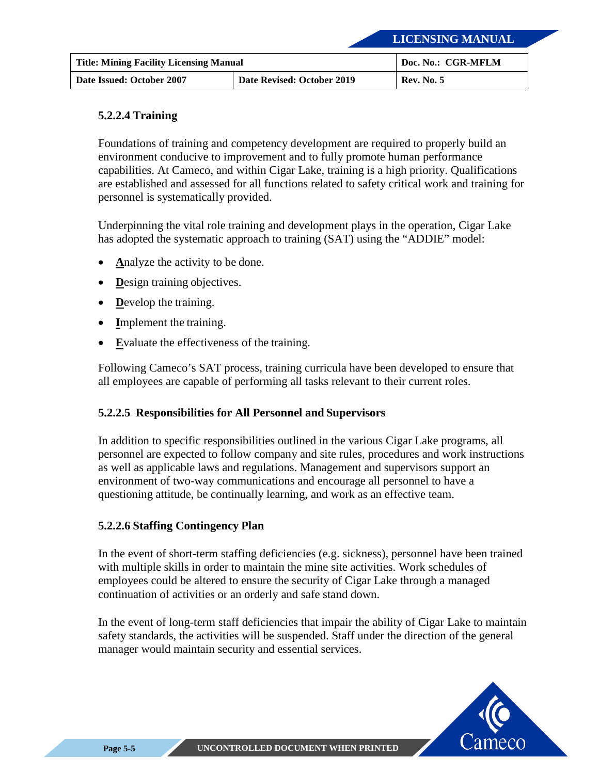| <b>Title: Mining Facility Licensing Manual</b> |                            | Doc. No.: CGR-MFLM |
|------------------------------------------------|----------------------------|--------------------|
| Date Issued: October 2007                      | Date Revised: October 2019 | <b>Rev. No. 5</b>  |

#### **5.2.2.4 Training**

Foundations of training and competency development are required to properly build an environment conducive to improvement and to fully promote human performance capabilities. At Cameco, and within Cigar Lake, training is a high priority. Qualifications are established and assessed for all functions related to safety critical work and training for personnel is systematically provided.

Underpinning the vital role training and development plays in the operation, Cigar Lake has adopted the systematic approach to training (SAT) using the "ADDIE" model:

- Analyze the activity to be done.
- **Design training objectives.**
- **D**evelop the training.
- **I**mplement the training.
- **E**valuate the effectiveness of the training.

Following Cameco's SAT process, training curricula have been developed to ensure that all employees are capable of performing all tasks relevant to their current roles.

#### **5.2.2.5 Responsibilities for All Personnel and Supervisors**

In addition to specific responsibilities outlined in the various Cigar Lake programs, all personnel are expected to follow company and site rules, procedures and work instructions as well as applicable laws and regulations. Management and supervisors support an environment of two-way communications and encourage all personnel to have a questioning attitude, be continually learning, and work as an effective team.

#### **5.2.2.6 Staffing Contingency Plan**

In the event of short-term staffing deficiencies (e.g. sickness), personnel have been trained with multiple skills in order to maintain the mine site activities. Work schedules of employees could be altered to ensure the security of Cigar Lake through a managed continuation of activities or an orderly and safe stand down.

In the event of long-term staff deficiencies that impair the ability of Cigar Lake to maintain safety standards, the activities will be suspended. Staff under the direction of the general manager would maintain security and essential services.

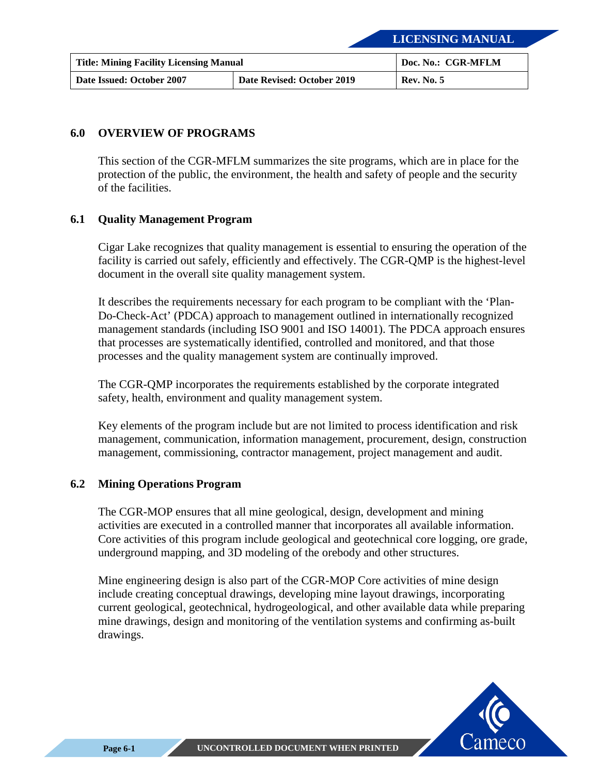| <b>Title: Mining Facility Licensing Manual</b> |                            | Doc. No.: CGR-MFLM |
|------------------------------------------------|----------------------------|--------------------|
| Date Issued: October 2007                      | Date Revised: October 2019 | <b>Rev. No. 5</b>  |

#### <span id="page-40-0"></span>**6.0 OVERVIEW OF PROGRAMS**

This section of the CGR-MFLM summarizes the site programs, which are in place for the protection of the public, the environment, the health and safety of people and the security of the facilities.

#### <span id="page-40-1"></span>**6.1 Quality Management Program**

Cigar Lake recognizes that quality management is essential to ensuring the operation of the facility is carried out safely, efficiently and effectively. The CGR-QMP is the highest-level document in the overall site quality management system.

It describes the requirements necessary for each program to be compliant with the 'Plan-Do-Check-Act' (PDCA) approach to management outlined in internationally recognized management standards (including ISO 9001 and ISO 14001). The PDCA approach ensures that processes are systematically identified, controlled and monitored, and that those processes and the quality management system are continually improved.

The CGR-QMP incorporates the requirements established by the corporate integrated safety, health, environment and quality management system.

Key elements of the program include but are not limited to process identification and risk management, communication, information management, procurement, design, construction management, commissioning, contractor management, project management and audit.

#### <span id="page-40-2"></span>**6.2 Mining Operations Program**

The CGR-MOP ensures that all mine geological, design, development and mining activities are executed in a controlled manner that incorporates all available information. Core activities of this program include geological and geotechnical core logging, ore grade, underground mapping, and 3D modeling of the orebody and other structures.

Mine engineering design is also part of the CGR-MOP Core activities of mine design include creating conceptual drawings, developing mine layout drawings, incorporating current geological, geotechnical, hydrogeological, and other available data while preparing mine drawings, design and monitoring of the ventilation systems and confirming as-built drawings.

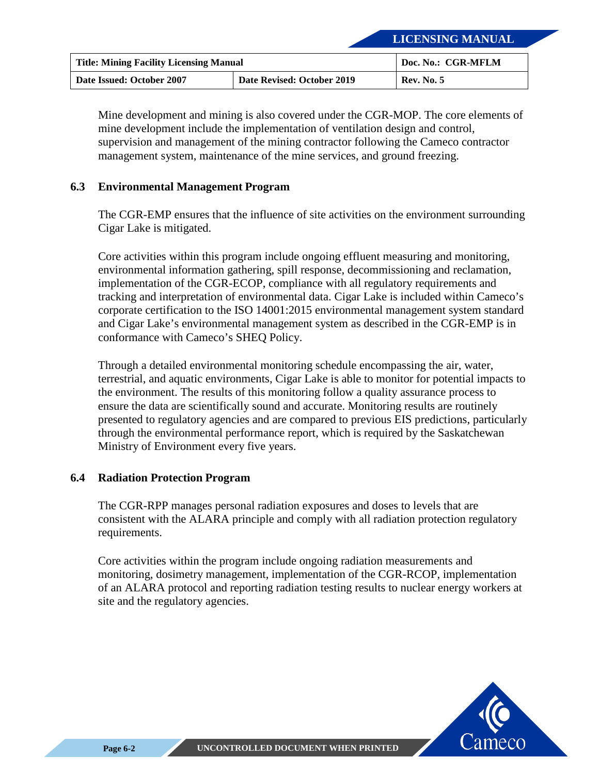| <b>Title: Mining Facility Licensing Manual</b> |                            | Doc. No.: CGR-MFLM |
|------------------------------------------------|----------------------------|--------------------|
| Date Issued: October 2007                      | Date Revised: October 2019 | <b>Rev. No. 5</b>  |

Mine development and mining is also covered under the CGR-MOP. The core elements of mine development include the implementation of ventilation design and control, supervision and management of the mining contractor following the Cameco contractor management system, maintenance of the mine services, and ground freezing.

#### <span id="page-41-0"></span>**6.3 Environmental Management Program**

The CGR-EMP ensures that the influence of site activities on the environment surrounding Cigar Lake is mitigated.

Core activities within this program include ongoing effluent measuring and monitoring, environmental information gathering, spill response, decommissioning and reclamation, implementation of the CGR-ECOP, compliance with all regulatory requirements and tracking and interpretation of environmental data. Cigar Lake is included within Cameco's corporate certification to the ISO 14001:2015 environmental management system standard and Cigar Lake's environmental management system as described in the CGR-EMP is in conformance with Cameco's SHEQ Policy.

Through a detailed environmental monitoring schedule encompassing the air, water, terrestrial, and aquatic environments, Cigar Lake is able to monitor for potential impacts to the environment. The results of this monitoring follow a quality assurance process to ensure the data are scientifically sound and accurate. Monitoring results are routinely presented to regulatory agencies and are compared to previous EIS predictions, particularly through the environmental performance report, which is required by the Saskatchewan Ministry of Environment every five years.

#### <span id="page-41-1"></span>**6.4 Radiation Protection Program**

The CGR-RPP manages personal radiation exposures and doses to levels that are consistent with the ALARA principle and comply with all radiation protection regulatory requirements.

Core activities within the program include ongoing radiation measurements and monitoring, dosimetry management, implementation of the CGR-RCOP, implementation of an ALARA protocol and reporting radiation testing results to nuclear energy workers at site and the regulatory agencies.

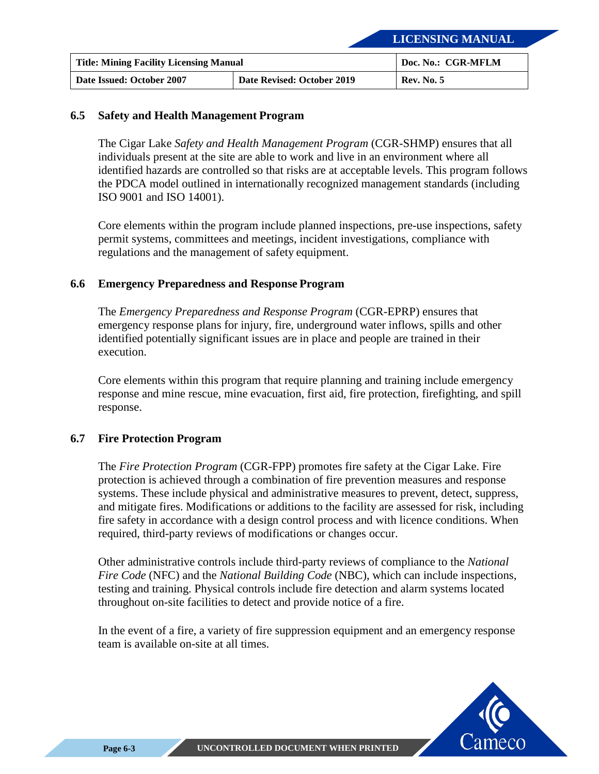| <b>Title: Mining Facility Licensing Manual</b> |                            | Doc. No.: CGR-MFLM |
|------------------------------------------------|----------------------------|--------------------|
| Date Issued: October 2007                      | Date Revised: October 2019 | <b>Rev. No. 5</b>  |

#### <span id="page-42-0"></span>**6.5 Safety and Health Management Program**

The Cigar Lake *Safety and Health Management Program* (CGR-SHMP) ensures that all individuals present at the site are able to work and live in an environment where all identified hazards are controlled so that risks are at acceptable levels. This program follows the PDCA model outlined in internationally recognized management standards (including ISO 9001 and ISO 14001).

Core elements within the program include planned inspections, pre-use inspections, safety permit systems, committees and meetings, incident investigations, compliance with regulations and the management of safety equipment.

#### <span id="page-42-1"></span>**6.6 Emergency Preparedness and Response Program**

The *Emergency Preparedness and Response Program* (CGR-EPRP) ensures that emergency response plans for injury, fire, underground water inflows, spills and other identified potentially significant issues are in place and people are trained in their execution.

Core elements within this program that require planning and training include emergency response and mine rescue, mine evacuation, first aid, fire protection, firefighting, and spill response.

#### <span id="page-42-2"></span>**6.7 Fire Protection Program**

The *Fire Protection Program* (CGR-FPP) promotes fire safety at the Cigar Lake. Fire protection is achieved through a combination of fire prevention measures and response systems. These include physical and administrative measures to prevent, detect, suppress, and mitigate fires. Modifications or additions to the facility are assessed for risk, including fire safety in accordance with a design control process and with licence conditions. When required, third-party reviews of modifications or changes occur.

Other administrative controls include third-party reviews of compliance to the *National Fire Code* (NFC) and the *National Building Code* (NBC), which can include inspections, testing and training. Physical controls include fire detection and alarm systems located throughout on-site facilities to detect and provide notice of a fire.

In the event of a fire, a variety of fire suppression equipment and an emergency response team is available on-site at all times.

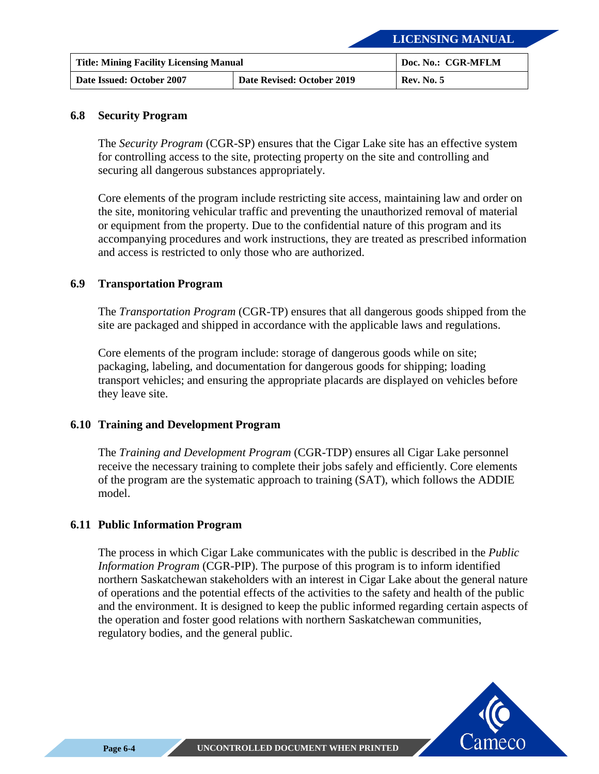| <b>Title: Mining Facility Licensing Manual</b> |                            | Doc. No.: CGR-MFLM |
|------------------------------------------------|----------------------------|--------------------|
| Date Issued: October 2007                      | Date Revised: October 2019 | <b>Rev. No. 5</b>  |

#### <span id="page-43-0"></span>**6.8 Security Program**

The *Security Program* (CGR-SP) ensures that the Cigar Lake site has an effective system for controlling access to the site, protecting property on the site and controlling and securing all dangerous substances appropriately.

Core elements of the program include restricting site access, maintaining law and order on the site, monitoring vehicular traffic and preventing the unauthorized removal of material or equipment from the property. Due to the confidential nature of this program and its accompanying procedures and work instructions, they are treated as prescribed information and access is restricted to only those who are authorized.

#### <span id="page-43-1"></span>**6.9 Transportation Program**

The *Transportation Program* (CGR-TP) ensures that all dangerous goods shipped from the site are packaged and shipped in accordance with the applicable laws and regulations.

Core elements of the program include: storage of dangerous goods while on site; packaging, labeling, and documentation for dangerous goods for shipping; loading transport vehicles; and ensuring the appropriate placards are displayed on vehicles before they leave site.

#### <span id="page-43-2"></span>**6.10 Training and Development Program**

The *Training and Development Program* (CGR-TDP) ensures all Cigar Lake personnel receive the necessary training to complete their jobs safely and efficiently. Core elements of the program are the systematic approach to training (SAT), which follows the ADDIE model.

#### <span id="page-43-3"></span>**6.11 Public Information Program**

The process in which Cigar Lake communicates with the public is described in the *Public Information Program* (CGR-PIP). The purpose of this program is to inform identified northern Saskatchewan stakeholders with an interest in Cigar Lake about the general nature of operations and the potential effects of the activities to the safety and health of the public and the environment. It is designed to keep the public informed regarding certain aspects of the operation and foster good relations with northern Saskatchewan communities, regulatory bodies, and the general public.

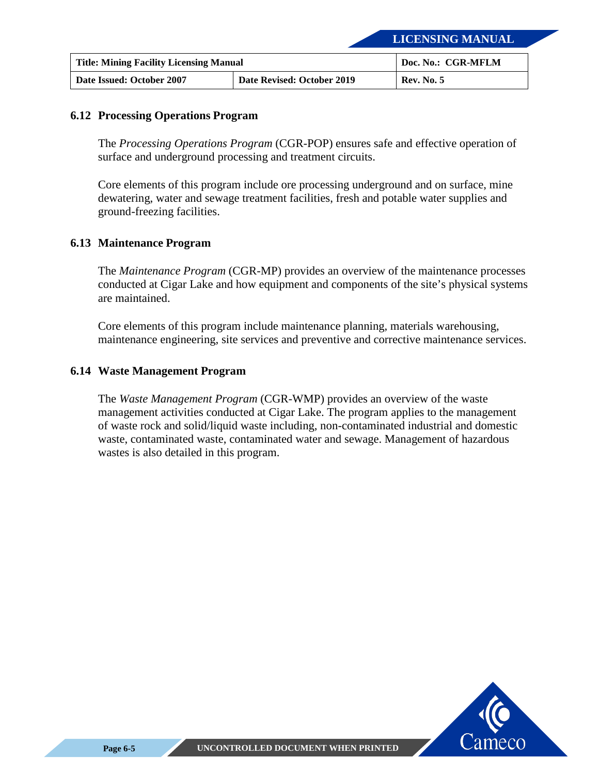| <b>Title: Mining Facility Licensing Manual</b> |                            | Doc. No.: CGR-MFLM |
|------------------------------------------------|----------------------------|--------------------|
| Date Issued: October 2007                      | Date Revised: October 2019 | <b>Rev. No. 5</b>  |

#### <span id="page-44-0"></span>**6.12 Processing Operations Program**

The *Processing Operations Program* (CGR-POP) ensures safe and effective operation of surface and underground processing and treatment circuits.

Core elements of this program include ore processing underground and on surface, mine dewatering, water and sewage treatment facilities, fresh and potable water supplies and ground-freezing facilities.

#### <span id="page-44-1"></span>**6.13 Maintenance Program**

The *Maintenance Program* (CGR-MP) provides an overview of the maintenance processes conducted at Cigar Lake and how equipment and components of the site's physical systems are maintained.

Core elements of this program include maintenance planning, materials warehousing, maintenance engineering, site services and preventive and corrective maintenance services.

#### <span id="page-44-2"></span>**6.14 Waste Management Program**

The *Waste Management Program* (CGR-WMP) provides an overview of the waste management activities conducted at Cigar Lake. The program applies to the management of waste rock and solid/liquid waste including, non-contaminated industrial and domestic waste, contaminated waste, contaminated water and sewage. Management of hazardous wastes is also detailed in this program.

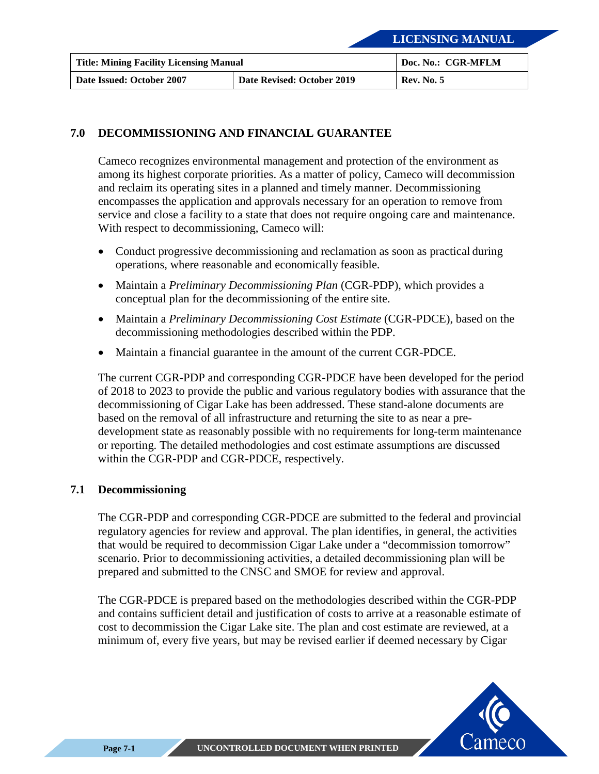| <b>Title: Mining Facility Licensing Manual</b> |                            | Doc. No.: CGR-MFLM |
|------------------------------------------------|----------------------------|--------------------|
| Date Issued: October 2007                      | Date Revised: October 2019 | <b>Rev. No. 5</b>  |

#### <span id="page-45-0"></span>**7.0 DECOMMISSIONING AND FINANCIAL GUARANTEE**

Cameco recognizes environmental management and protection of the environment as among its highest corporate priorities. As a matter of policy, Cameco will decommission and reclaim its operating sites in a planned and timely manner. Decommissioning encompasses the application and approvals necessary for an operation to remove from service and close a facility to a state that does not require ongoing care and maintenance. With respect to decommissioning, Cameco will:

- Conduct progressive decommissioning and reclamation as soon as practical during operations, where reasonable and economically feasible.
- Maintain a *Preliminary Decommissioning Plan* (CGR-PDP), which provides a conceptual plan for the decommissioning of the entire site.
- Maintain a *Preliminary Decommissioning Cost Estimate* (CGR-PDCE), based on the decommissioning methodologies described within the PDP.
- Maintain a financial guarantee in the amount of the current CGR-PDCE.

The current CGR-PDP and corresponding CGR-PDCE have been developed for the period of 2018 to 2023 to provide the public and various regulatory bodies with assurance that the decommissioning of Cigar Lake has been addressed. These stand-alone documents are based on the removal of all infrastructure and returning the site to as near a predevelopment state as reasonably possible with no requirements for long-term maintenance or reporting. The detailed methodologies and cost estimate assumptions are discussed within the CGR-PDP and CGR-PDCE, respectively.

#### <span id="page-45-1"></span>**7.1 Decommissioning**

The CGR-PDP and corresponding CGR-PDCE are submitted to the federal and provincial regulatory agencies for review and approval. The plan identifies, in general, the activities that would be required to decommission Cigar Lake under a "decommission tomorrow" scenario. Prior to decommissioning activities, a detailed decommissioning plan will be prepared and submitted to the CNSC and SMOE for review and approval.

The CGR-PDCE is prepared based on the methodologies described within the CGR-PDP and contains sufficient detail and justification of costs to arrive at a reasonable estimate of cost to decommission the Cigar Lake site. The plan and cost estimate are reviewed, at a minimum of, every five years, but may be revised earlier if deemed necessary by Cigar

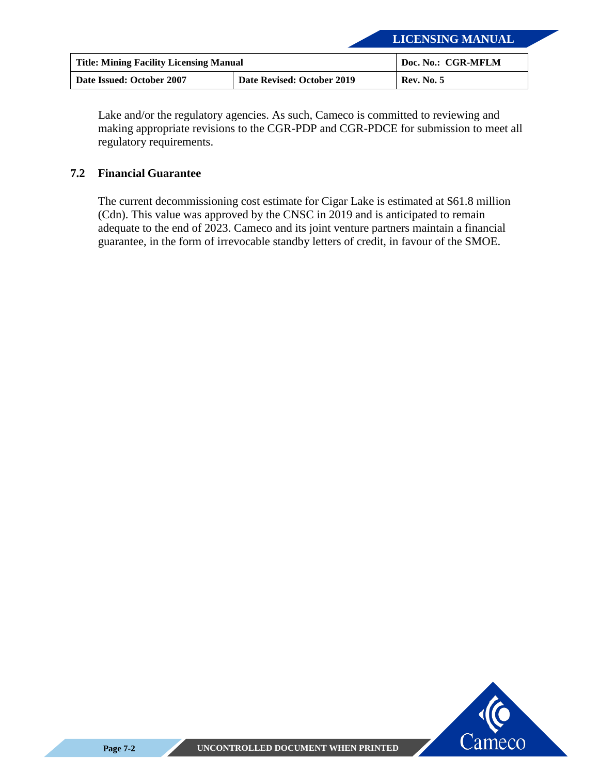| <b>Title: Mining Facility Licensing Manual</b> |                            | Doc. No.: CGR-MFLM |
|------------------------------------------------|----------------------------|--------------------|
| Date Issued: October 2007                      | Date Revised: October 2019 | <b>Rev. No. 5</b>  |

Lake and/or the regulatory agencies. As such, Cameco is committed to reviewing and making appropriate revisions to the CGR-PDP and CGR-PDCE for submission to meet all regulatory requirements.

#### <span id="page-46-0"></span>**7.2 Financial Guarantee**

The current decommissioning cost estimate for Cigar Lake is estimated at \$61.8 million (Cdn). This value was approved by the CNSC in 2019 and is anticipated to remain adequate to the end of 2023. Cameco and its joint venture partners maintain a financial guarantee, in the form of irrevocable standby letters of credit, in favour of the SMOE.

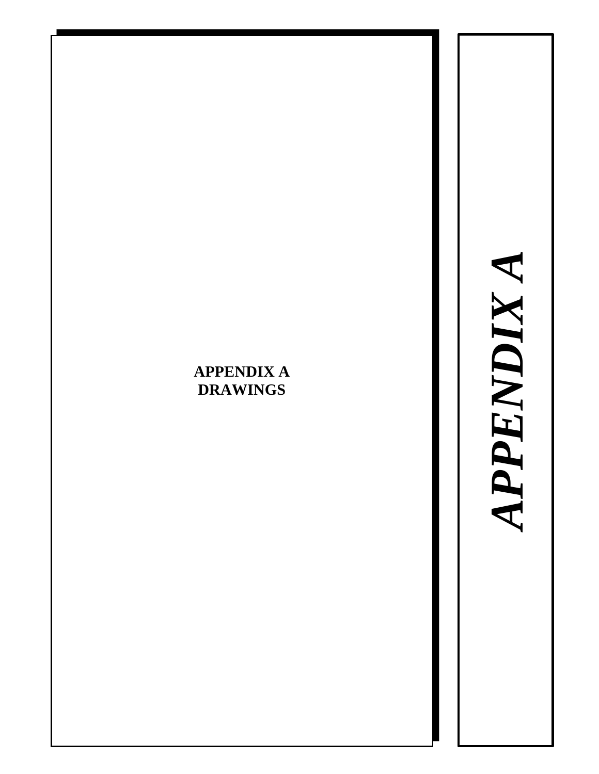# <span id="page-47-0"></span>**APPENDIX A DRAWINGS**

APPENDIX A *APPENDIX A*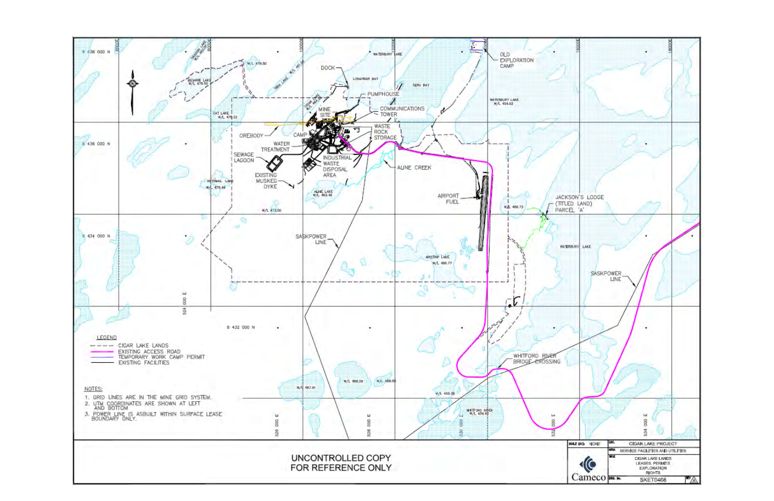<span id="page-48-0"></span>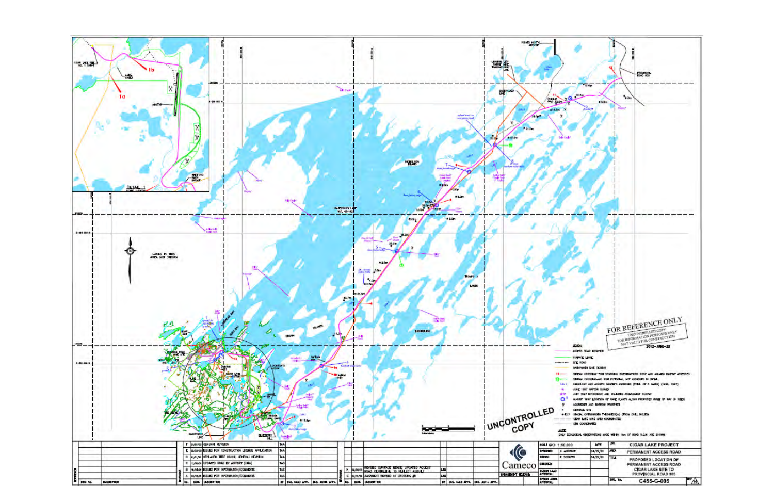<span id="page-49-0"></span>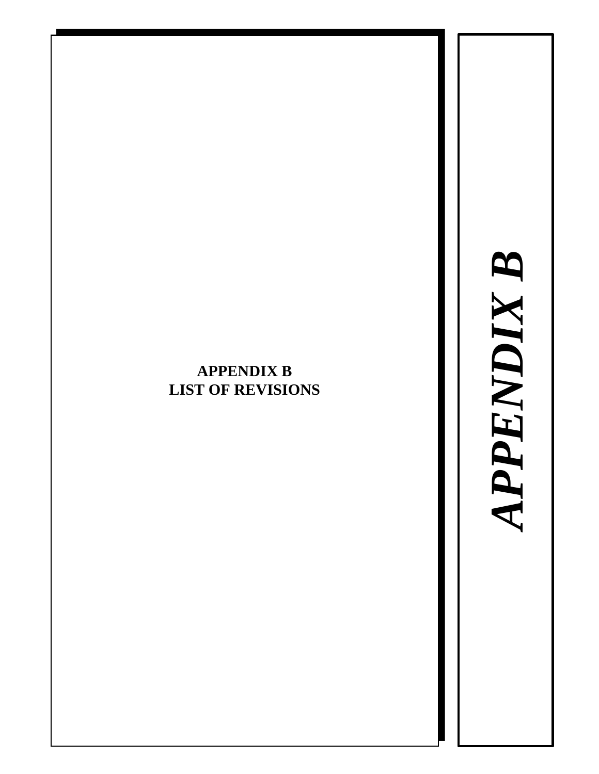# *APPENDIX B*APPENDIX B

## <span id="page-50-0"></span>**APPENDIX B LIST OF REVISIONS**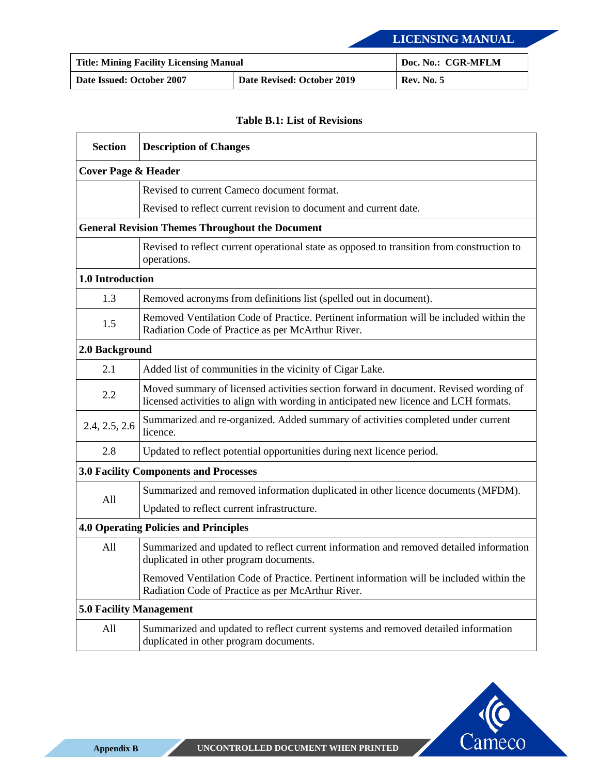| <b>Title: Mining Facility Licensing Manual</b> |                            | Doc. No.: CGR-MFLM |
|------------------------------------------------|----------------------------|--------------------|
| Date Issued: October 2007                      | Date Revised: October 2019 | <b>Rev. No. 5</b>  |

#### **Table B.1: List of Revisions**

| <b>Section</b>                                         | <b>Description of Changes</b>                                                                                                                                                 |  |  |  |
|--------------------------------------------------------|-------------------------------------------------------------------------------------------------------------------------------------------------------------------------------|--|--|--|
| <b>Cover Page &amp; Header</b>                         |                                                                                                                                                                               |  |  |  |
|                                                        | Revised to current Cameco document format.                                                                                                                                    |  |  |  |
|                                                        | Revised to reflect current revision to document and current date.                                                                                                             |  |  |  |
| <b>General Revision Themes Throughout the Document</b> |                                                                                                                                                                               |  |  |  |
|                                                        | Revised to reflect current operational state as opposed to transition from construction to<br>operations.                                                                     |  |  |  |
| 1.0 Introduction                                       |                                                                                                                                                                               |  |  |  |
| 1.3                                                    | Removed acronyms from definitions list (spelled out in document).                                                                                                             |  |  |  |
| 1.5                                                    | Removed Ventilation Code of Practice. Pertinent information will be included within the<br>Radiation Code of Practice as per McArthur River.                                  |  |  |  |
| 2.0 Background                                         |                                                                                                                                                                               |  |  |  |
| 2.1                                                    | Added list of communities in the vicinity of Cigar Lake.                                                                                                                      |  |  |  |
| 2.2                                                    | Moved summary of licensed activities section forward in document. Revised wording of<br>licensed activities to align with wording in anticipated new licence and LCH formats. |  |  |  |
| 2.4, 2.5, 2.6                                          | Summarized and re-organized. Added summary of activities completed under current<br>licence.                                                                                  |  |  |  |
| 2.8                                                    | Updated to reflect potential opportunities during next licence period.                                                                                                        |  |  |  |
| <b>3.0 Facility Components and Processes</b>           |                                                                                                                                                                               |  |  |  |
| All                                                    | Summarized and removed information duplicated in other licence documents (MFDM).                                                                                              |  |  |  |
|                                                        | Updated to reflect current infrastructure.                                                                                                                                    |  |  |  |
| <b>4.0 Operating Policies and Principles</b>           |                                                                                                                                                                               |  |  |  |
| All                                                    | Summarized and updated to reflect current information and removed detailed information<br>duplicated in other program documents.                                              |  |  |  |
|                                                        | Removed Ventilation Code of Practice. Pertinent information will be included within the<br>Radiation Code of Practice as per McArthur River.                                  |  |  |  |
| <b>5.0 Facility Management</b>                         |                                                                                                                                                                               |  |  |  |
| All                                                    | Summarized and updated to reflect current systems and removed detailed information<br>duplicated in other program documents.                                                  |  |  |  |

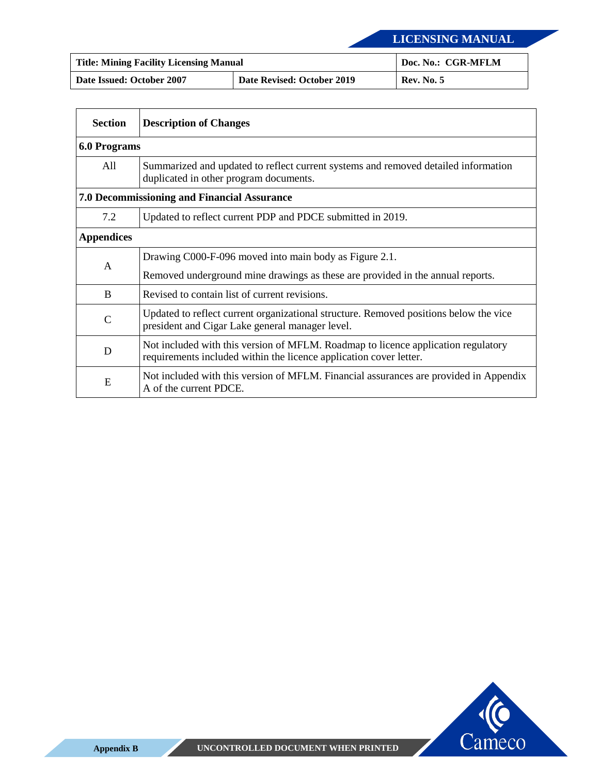| <b>Title: Mining Facility Licensing Manual</b> | Doc. No.: CGR-MFLM         |                   |
|------------------------------------------------|----------------------------|-------------------|
| Date Issued: October 2007                      | Date Revised: October 2019 | <b>Rev. No. 5</b> |

| <b>Section</b>                                     | <b>Description of Changes</b>                                                                                                                           |  |  |  |
|----------------------------------------------------|---------------------------------------------------------------------------------------------------------------------------------------------------------|--|--|--|
| <b>6.0 Programs</b>                                |                                                                                                                                                         |  |  |  |
| A11                                                | Summarized and updated to reflect current systems and removed detailed information<br>duplicated in other program documents.                            |  |  |  |
| <b>7.0 Decommissioning and Financial Assurance</b> |                                                                                                                                                         |  |  |  |
| 7.2                                                | Updated to reflect current PDP and PDCE submitted in 2019.                                                                                              |  |  |  |
| <b>Appendices</b>                                  |                                                                                                                                                         |  |  |  |
| A                                                  | Drawing C000-F-096 moved into main body as Figure 2.1.                                                                                                  |  |  |  |
|                                                    | Removed underground mine drawings as these are provided in the annual reports.                                                                          |  |  |  |
| B                                                  | Revised to contain list of current revisions.                                                                                                           |  |  |  |
| $\mathcal{C}$                                      | Updated to reflect current organizational structure. Removed positions below the vice<br>president and Cigar Lake general manager level.                |  |  |  |
| D                                                  | Not included with this version of MFLM. Roadmap to licence application regulatory<br>requirements included within the licence application cover letter. |  |  |  |
| E                                                  | Not included with this version of MFLM. Financial assurances are provided in Appendix<br>A of the current PDCE.                                         |  |  |  |

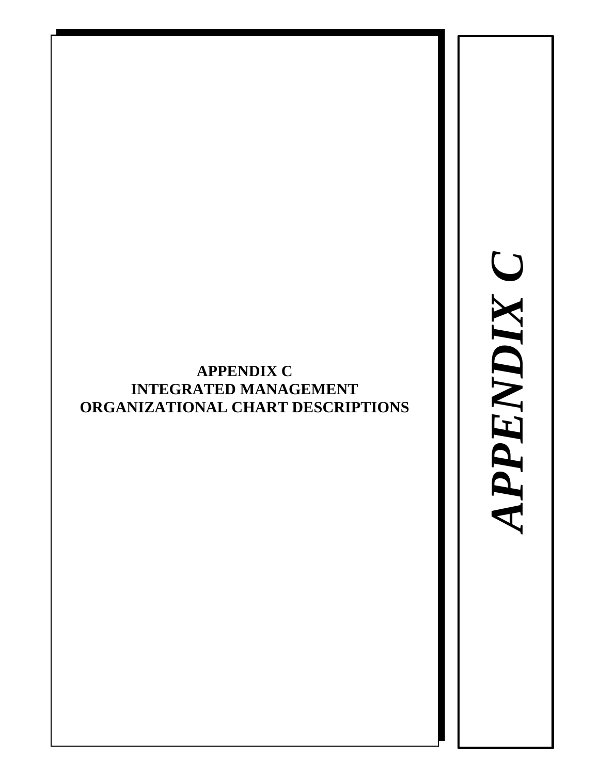## <span id="page-53-0"></span>**APPENDIX C INTEGRATED MANAGEMENT ORGANIZATIONAL CHART DESCRIPTIONS**

APPENDIX C *APPENDIX C*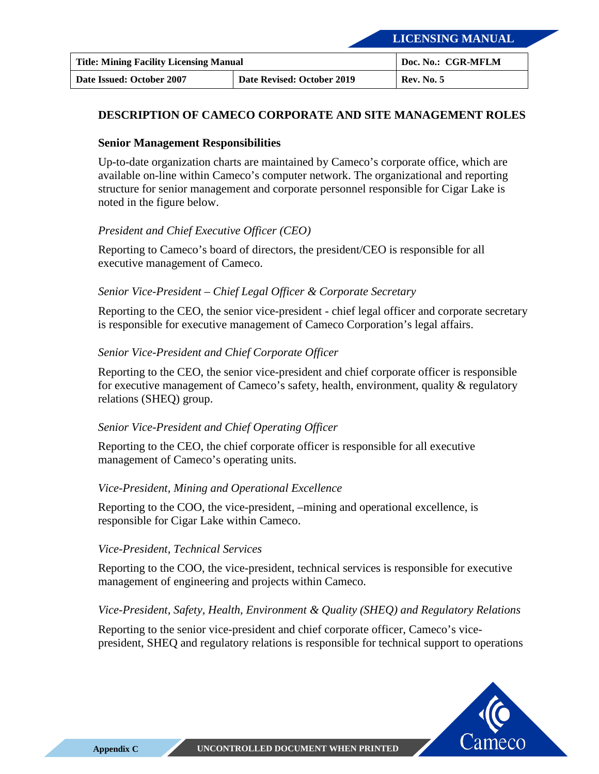| <b>Title: Mining Facility Licensing Manual</b> | Doc. No.: CGR-MFLM         |                   |
|------------------------------------------------|----------------------------|-------------------|
| Date Issued: October 2007                      | Date Revised: October 2019 | <b>Rev. No. 5</b> |

#### **DESCRIPTION OF CAMECO CORPORATE AND SITE MANAGEMENT ROLES**

#### **Senior Management Responsibilities**

Up-to-date organization charts are maintained by Cameco's corporate office, which are available on-line within Cameco's computer network. The organizational and reporting structure for senior management and corporate personnel responsible for Cigar Lake is noted in the figure below.

#### *President and Chief Executive Officer (CEO)*

Reporting to Cameco's board of directors, the president/CEO is responsible for all executive management of Cameco.

#### *Senior Vice-President – Chief Legal Officer & Corporate Secretary*

Reporting to the CEO, the senior vice-president - chief legal officer and corporate secretary is responsible for executive management of Cameco Corporation's legal affairs.

#### *Senior Vice-President and Chief Corporate Officer*

Reporting to the CEO, the senior vice-president and chief corporate officer is responsible for executive management of Cameco's safety, health, environment, quality & regulatory relations (SHEQ) group.

#### *Senior Vice-President and Chief Operating Officer*

Reporting to the CEO, the chief corporate officer is responsible for all executive management of Cameco's operating units.

#### *Vice-President, Mining and Operational Excellence*

Reporting to the COO, the vice-president, –mining and operational excellence, is responsible for Cigar Lake within Cameco.

#### *Vice-President, Technical Services*

Reporting to the COO, the vice-president, technical services is responsible for executive management of engineering and projects within Cameco.

#### *Vice-President, Safety, Health, Environment & Quality (SHEQ) and Regulatory Relations*

Reporting to the senior vice-president and chief corporate officer, Cameco's vicepresident, SHEQ and regulatory relations is responsible for technical support to operations